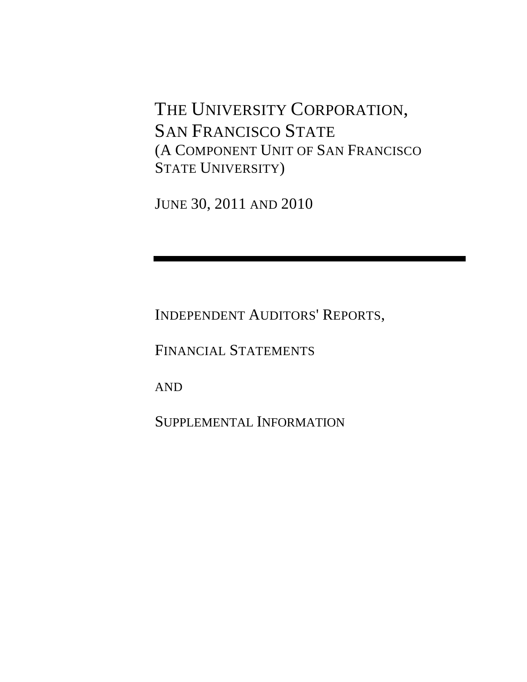THE UNIVERSITY CORPORATION, SAN FRANCISCO STATE (A COMPONENT UNIT OF SAN FRANCISCO STATE UNIVERSITY)

JUNE 30, 2011 AND 2010

INDEPENDENT AUDITORS' REPORTS,

FINANCIAL STATEMENTS

AND

SUPPLEMENTAL INFORMATION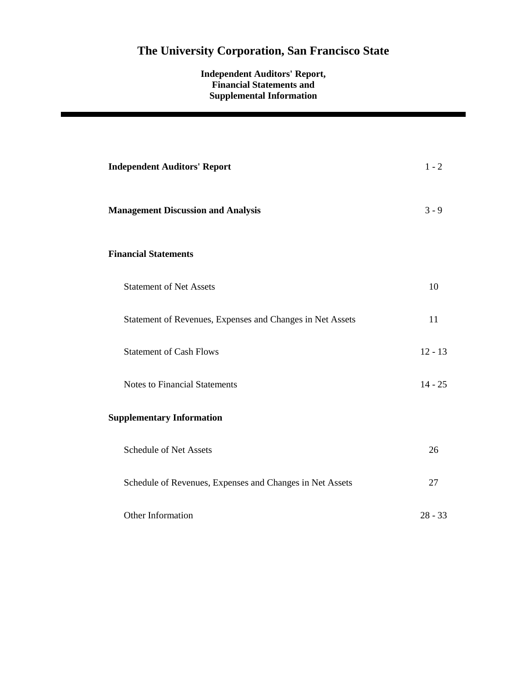### **Independent Auditors' Report, Financial Statements and Supplemental Information**

| <b>Independent Auditors' Report</b>                       | $1 - 2$   |
|-----------------------------------------------------------|-----------|
| <b>Management Discussion and Analysis</b>                 | $3 - 9$   |
| <b>Financial Statements</b>                               |           |
| <b>Statement of Net Assets</b>                            | 10        |
| Statement of Revenues, Expenses and Changes in Net Assets | 11        |
| <b>Statement of Cash Flows</b>                            | $12 - 13$ |
| <b>Notes to Financial Statements</b>                      | $14 - 25$ |
| <b>Supplementary Information</b>                          |           |
| <b>Schedule of Net Assets</b>                             | 26        |
| Schedule of Revenues, Expenses and Changes in Net Assets  | 27        |
| Other Information                                         | $28 - 33$ |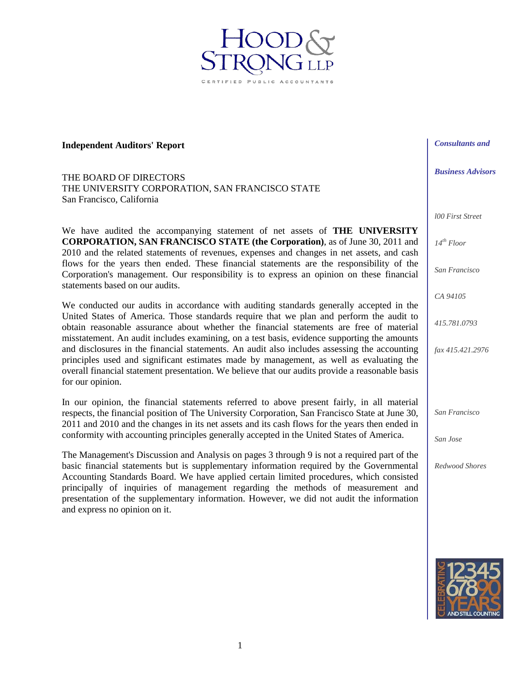**Independent Auditors' Report** 

THE BOARD OF DIRECTORS THE UNIVERSITY CORPORATION, SAN FRANCISCO STATE San Francisco, California

We have audited the accompanying statement of net assets of **THE UNIVERSITY CORPORATION, SAN FRANCISCO STATE (the Corporation)**, as of June 30, 2011 and 2010 and the related statements of revenues, expenses and changes in net assets, and cash flows for the years then ended. These financial statements are the responsibility of the Corporation's management. Our responsibility is to express an opinion on these financial statements based on our audits.

ED PUBLIC ACCOU

We conducted our audits in accordance with auditing standards generally accepted in the United States of America. Those standards require that we plan and perform the audit to obtain reasonable assurance about whether the financial statements are free of material misstatement. An audit includes examining, on a test basis, evidence supporting the amounts and disclosures in the financial statements. An audit also includes assessing the accounting principles used and significant estimates made by management, as well as evaluating the overall financial statement presentation. We believe that our audits provide a reasonable basis for our opinion.

In our opinion, the financial statements referred to above present fairly, in all material respects, the financial position of The University Corporation, San Francisco State at June 30, 2011 and 2010 and the changes in its net assets and its cash flows for the years then ended in conformity with accounting principles generally accepted in the United States of America.

The Management's Discussion and Analysis on pages 3 through 9 is not a required part of the basic financial statements but is supplementary information required by the Governmental Accounting Standards Board. We have applied certain limited procedures, which consisted principally of inquiries of management regarding the methods of measurement and presentation of the supplementary information. However, we did not audit the information and express no opinion on it.

*Consultants and* 

*Business Advisors* 

*l00 First Street* 

*14th Floor* 

*San Francisco* 

*CA 94105* 

*415.781.0793* 

*fax 415.421.2976* 

*San Francisco* 

*San Jose* 

*Redwood Shores* 

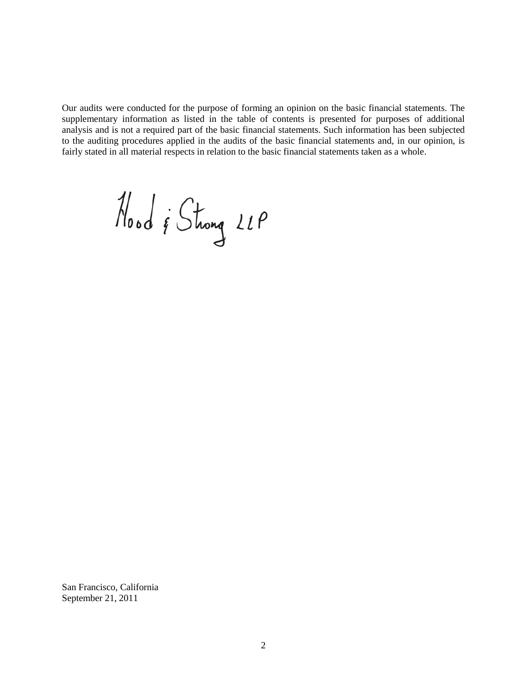Our audits were conducted for the purpose of forming an opinion on the basic financial statements. The supplementary information as listed in the table of contents is presented for purposes of additional analysis and is not a required part of the basic financial statements. Such information has been subjected to the auditing procedures applied in the audits of the basic financial statements and, in our opinion, is fairly stated in all material respects in relation to the basic financial statements taken as a whole.

Nood & Strong 21P

San Francisco, California September 21, 2011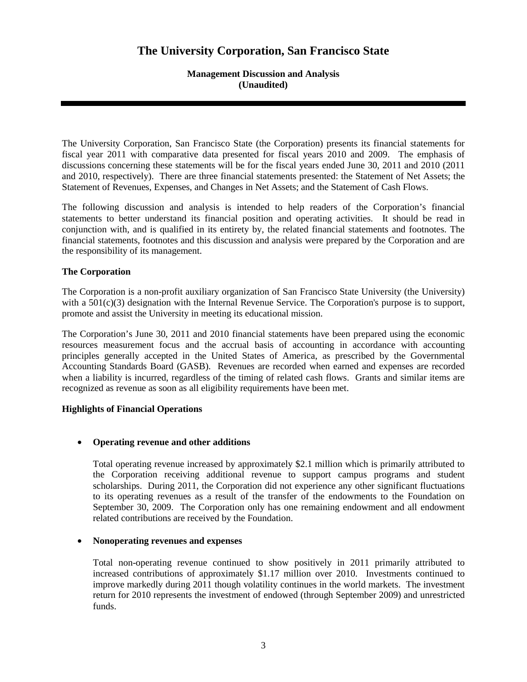### **Management Discussion and Analysis (Unaudited)**

The University Corporation, San Francisco State (the Corporation) presents its financial statements for fiscal year 2011 with comparative data presented for fiscal years 2010 and 2009. The emphasis of discussions concerning these statements will be for the fiscal years ended June 30, 2011 and 2010 (2011 and 2010, respectively). There are three financial statements presented: the Statement of Net Assets; the Statement of Revenues, Expenses, and Changes in Net Assets; and the Statement of Cash Flows.

The following discussion and analysis is intended to help readers of the Corporation's financial statements to better understand its financial position and operating activities. It should be read in conjunction with, and is qualified in its entirety by, the related financial statements and footnotes. The financial statements, footnotes and this discussion and analysis were prepared by the Corporation and are the responsibility of its management.

### **The Corporation**

The Corporation is a non-profit auxiliary organization of San Francisco State University (the University) with a  $501(c)(3)$  designation with the Internal Revenue Service. The Corporation's purpose is to support, promote and assist the University in meeting its educational mission.

The Corporation's June 30, 2011 and 2010 financial statements have been prepared using the economic resources measurement focus and the accrual basis of accounting in accordance with accounting principles generally accepted in the United States of America, as prescribed by the Governmental Accounting Standards Board (GASB). Revenues are recorded when earned and expenses are recorded when a liability is incurred, regardless of the timing of related cash flows. Grants and similar items are recognized as revenue as soon as all eligibility requirements have been met.

#### **Highlights of Financial Operations**

### • **Operating revenue and other additions**

Total operating revenue increased by approximately \$2.1 million which is primarily attributed to the Corporation receiving additional revenue to support campus programs and student scholarships. During 2011, the Corporation did not experience any other significant fluctuations to its operating revenues as a result of the transfer of the endowments to the Foundation on September 30, 2009. The Corporation only has one remaining endowment and all endowment related contributions are received by the Foundation.

### • **Nonoperating revenues and expenses**

Total non-operating revenue continued to show positively in 2011 primarily attributed to increased contributions of approximately \$1.17 million over 2010. Investments continued to improve markedly during 2011 though volatility continues in the world markets. The investment return for 2010 represents the investment of endowed (through September 2009) and unrestricted funds.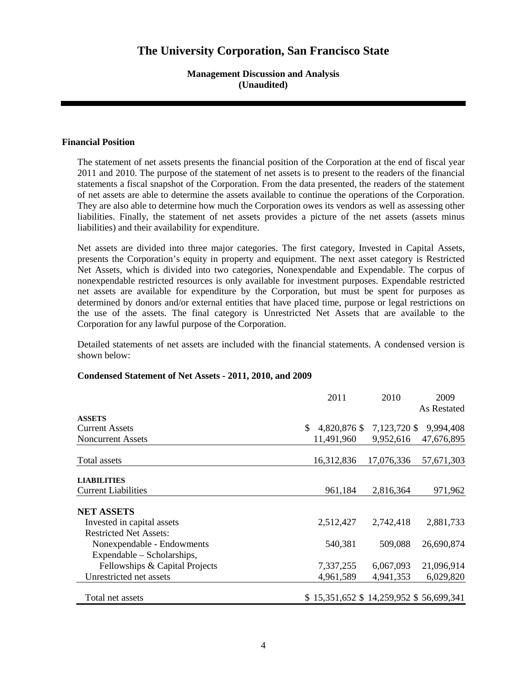### **Management Discussion and Analysis (Unaudited)**

#### **Financial Position**

The statement of net assets presents the financial position of the Corporation at the end of fiscal year 2011 and 2010. The purpose of the statement of net assets is to present to the readers of the financial statements a fiscal snapshot of the Corporation. From the data presented, the readers of the statement of net assets are able to determine the assets available to continue the operations of the Corporation. They are also able to determine how much the Corporation owes its vendors as well as assessing other liabilities. Finally, the statement of net assets provides a picture of the net assets (assets minus liabilities) and their availability for expenditure.

Net assets are divided into three major categories. The first category, Invested in Capital Assets, presents the Corporation's equity in property and equipment. The next asset category is Restricted Net Assets, which is divided into two categories, Nonexpendable and Expendable. The corpus of nonexpendable restricted resources is only available for investment purposes. Expendable restricted net assets are available for expenditure by the Corporation, but must be spent for purposes as determined by donors and/or external entities that have placed time, purpose or legal restrictions on the use of the assets. The final category is Unrestricted Net Assets that are available to the Corporation for any lawful purpose of the Corporation.

Detailed statements of net assets are included with the financial statements. A condensed version is shown below:

|                                | 2011                                   | 2010         | 2009        |
|--------------------------------|----------------------------------------|--------------|-------------|
|                                |                                        |              | As Restated |
| <b>ASSETS</b>                  |                                        |              |             |
| <b>Current Assets</b>          | 4,820,876 \$<br>\$                     | 7,123,720 \$ | 9,994,408   |
| <b>Noncurrent Assets</b>       | 11,491,960                             | 9,952,616    | 47,676,895  |
| Total assets                   | 16,312,836                             | 17,076,336   | 57,671,303  |
| <b>LIABILITIES</b>             |                                        |              |             |
| <b>Current Liabilities</b>     | 961,184                                | 2,816,364    | 971,962     |
| <b>NET ASSETS</b>              |                                        |              |             |
| Invested in capital assets     | 2,512,427                              | 2,742,418    | 2,881,733   |
| <b>Restricted Net Assets:</b>  |                                        |              |             |
| Nonexpendable - Endowments     | 540,381                                | 509,088      | 26,690,874  |
| Expendable – Scholarships,     |                                        |              |             |
| Fellowships & Capital Projects | 7,337,255                              | 6,067,093    | 21,096,914  |
| Unrestricted net assets        | 4,961,589                              | 4,941,353    | 6,029,820   |
| Total net assets               | \$15,351,652 \$14,259,952 \$56,699,341 |              |             |

#### **Condensed Statement of Net Assets - 2011, 2010, and 2009**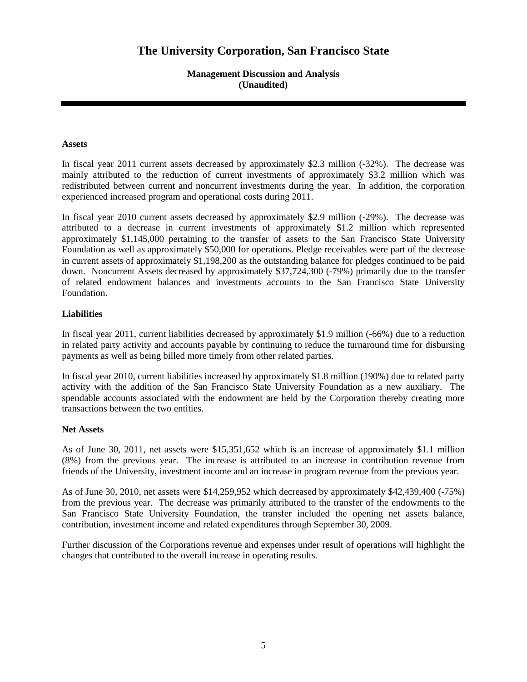**Management Discussion and Analysis (Unaudited)** 

#### **Assets**

In fiscal year 2011 current assets decreased by approximately \$2.3 million (-32%). The decrease was mainly attributed to the reduction of current investments of approximately \$3.2 million which was redistributed between current and noncurrent investments during the year. In addition, the corporation experienced increased program and operational costs during 2011.

In fiscal year 2010 current assets decreased by approximately \$2.9 million (-29%). The decrease was attributed to a decrease in current investments of approximately \$1.2 million which represented approximately \$1,145,000 pertaining to the transfer of assets to the San Francisco State University Foundation as well as approximately \$50,000 for operations. Pledge receivables were part of the decrease in current assets of approximately \$1,198,200 as the outstanding balance for pledges continued to be paid down. Noncurrent Assets decreased by approximately \$37,724,300 (-79%) primarily due to the transfer of related endowment balances and investments accounts to the San Francisco State University Foundation.

#### **Liabilities**

In fiscal year 2011, current liabilities decreased by approximately \$1.9 million (-66%) due to a reduction in related party activity and accounts payable by continuing to reduce the turnaround time for disbursing payments as well as being billed more timely from other related parties.

In fiscal year 2010, current liabilities increased by approximately \$1.8 million (190%) due to related party activity with the addition of the San Francisco State University Foundation as a new auxiliary. The spendable accounts associated with the endowment are held by the Corporation thereby creating more transactions between the two entities.

#### **Net Assets**

As of June 30, 2011, net assets were \$15,351,652 which is an increase of approximately \$1.1 million (8%) from the previous year. The increase is attributed to an increase in contribution revenue from friends of the University, investment income and an increase in program revenue from the previous year.

As of June 30, 2010, net assets were \$14,259,952 which decreased by approximately \$42,439,400 (-75%) from the previous year. The decrease was primarily attributed to the transfer of the endowments to the San Francisco State University Foundation, the transfer included the opening net assets balance, contribution, investment income and related expenditures through September 30, 2009.

Further discussion of the Corporations revenue and expenses under result of operations will highlight the changes that contributed to the overall increase in operating results.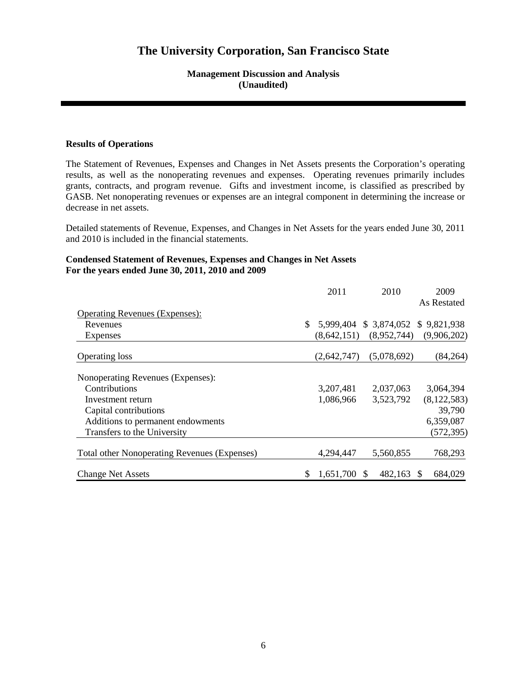### **Management Discussion and Analysis (Unaudited)**

#### **Results of Operations**

The Statement of Revenues, Expenses and Changes in Net Assets presents the Corporation's operating results, as well as the nonoperating revenues and expenses. Operating revenues primarily includes grants, contracts, and program revenue. Gifts and investment income, is classified as prescribed by GASB. Net nonoperating revenues or expenses are an integral component in determining the increase or decrease in net assets.

Detailed statements of Revenue, Expenses, and Changes in Net Assets for the years ended June 30, 2011 and 2010 is included in the financial statements.

### **Condensed Statement of Revenues, Expenses and Changes in Net Assets For the years ended June 30, 2011, 2010 and 2009**

|                                                     |     | 2011        | 2010                      | 2009          |
|-----------------------------------------------------|-----|-------------|---------------------------|---------------|
|                                                     |     |             |                           | As Restated   |
| <b>Operating Revenues (Expenses):</b>               |     |             |                           |               |
| Revenues                                            | S.  | 5,999,404   | $$3,874,052$ $$9,821,938$ |               |
| Expenses                                            |     | (8,642,151) | (8,952,744)               | (9,906,202)   |
| <b>Operating loss</b>                               |     | (2,642,747) | (5,078,692)               | (84, 264)     |
| Nonoperating Revenues (Expenses):                   |     |             |                           |               |
| Contributions                                       |     | 3,207,481   | 2,037,063                 | 3,064,394     |
| Investment return                                   |     | 1,086,966   | 3,523,792                 | (8, 122, 583) |
| Capital contributions                               |     |             |                           | 39,790        |
| Additions to permanent endowments                   |     |             |                           | 6,359,087     |
| Transfers to the University                         |     |             |                           | (572, 395)    |
| <b>Total other Nonoperating Revenues (Expenses)</b> |     | 4,294,447   | 5,560,855                 | 768,293       |
| <b>Change Net Assets</b>                            | \$. | 1,651,700   | 482,163<br>- \$           | 684,029       |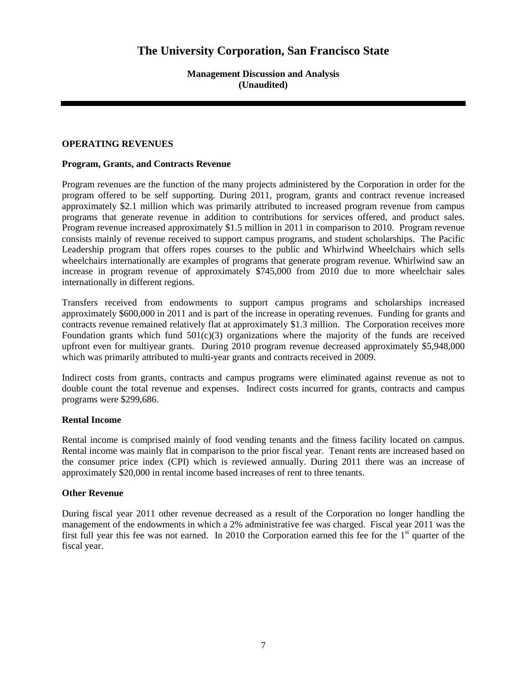**Management Discussion and Analysis (Unaudited)** 

#### **OPERATING REVENUES**

#### **Program, Grants, and Contracts Revenue**

Program revenues are the function of the many projects administered by the Corporation in order for the program offered to be self supporting. During 2011, program, grants and contract revenue increased approximately \$2.1 million which was primarily attributed to increased program revenue from campus programs that generate revenue in addition to contributions for services offered, and product sales. Program revenue increased approximately \$1.5 million in 2011 in comparison to 2010. Program revenue consists mainly of revenue received to support campus programs, and student scholarships. The Pacific Leadership program that offers ropes courses to the public and Whirlwind Wheelchairs which sells wheelchairs internationally are examples of programs that generate program revenue. Whirlwind saw an increase in program revenue of approximately \$745,000 from 2010 due to more wheelchair sales internationally in different regions.

Transfers received from endowments to support campus programs and scholarships increased approximately \$600,000 in 2011 and is part of the increase in operating revenues. Funding for grants and contracts revenue remained relatively flat at approximately \$1.3 million. The Corporation receives more Foundation grants which fund  $501(c)(3)$  organizations where the majority of the funds are received upfront even for multiyear grants. During 2010 program revenue decreased approximately \$5,948,000 which was primarily attributed to multi-year grants and contracts received in 2009.

Indirect costs from grants, contracts and campus programs were eliminated against revenue as not to double count the total revenue and expenses. Indirect costs incurred for grants, contracts and campus programs were \$299,686.

#### **Rental Income**

Rental income is comprised mainly of food vending tenants and the fitness facility located on campus. Rental income was mainly flat in comparison to the prior fiscal year. Tenant rents are increased based on the consumer price index (CPI) which is reviewed annually. During 2011 there was an increase of approximately \$20,000 in rental income based increases of rent to three tenants.

#### **Other Revenue**

During fiscal year 2011 other revenue decreased as a result of the Corporation no longer handling the management of the endowments in which a 2% administrative fee was charged. Fiscal year 2011 was the first full year this fee was not earned. In 2010 the Corporation earned this fee for the  $1<sup>st</sup>$  quarter of the fiscal year.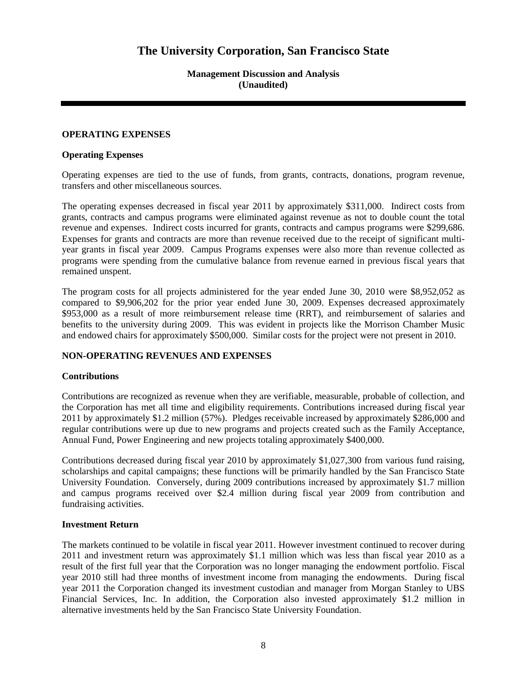**Management Discussion and Analysis (Unaudited)** 

#### **OPERATING EXPENSES**

#### **Operating Expenses**

Operating expenses are tied to the use of funds, from grants, contracts, donations, program revenue, transfers and other miscellaneous sources.

The operating expenses decreased in fiscal year 2011 by approximately \$311,000. Indirect costs from grants, contracts and campus programs were eliminated against revenue as not to double count the total revenue and expenses. Indirect costs incurred for grants, contracts and campus programs were \$299,686. Expenses for grants and contracts are more than revenue received due to the receipt of significant multiyear grants in fiscal year 2009. Campus Programs expenses were also more than revenue collected as programs were spending from the cumulative balance from revenue earned in previous fiscal years that remained unspent.

The program costs for all projects administered for the year ended June 30, 2010 were \$8,952,052 as compared to \$9,906,202 for the prior year ended June 30, 2009. Expenses decreased approximately \$953,000 as a result of more reimbursement release time (RRT), and reimbursement of salaries and benefits to the university during 2009. This was evident in projects like the Morrison Chamber Music and endowed chairs for approximately \$500,000. Similar costs for the project were not present in 2010.

### **NON-OPERATING REVENUES AND EXPENSES**

### **Contributions**

Contributions are recognized as revenue when they are verifiable, measurable, probable of collection, and the Corporation has met all time and eligibility requirements. Contributions increased during fiscal year 2011 by approximately \$1.2 million (57%). Pledges receivable increased by approximately \$286,000 and regular contributions were up due to new programs and projects created such as the Family Acceptance, Annual Fund, Power Engineering and new projects totaling approximately \$400,000.

Contributions decreased during fiscal year 2010 by approximately \$1,027,300 from various fund raising, scholarships and capital campaigns; these functions will be primarily handled by the San Francisco State University Foundation. Conversely, during 2009 contributions increased by approximately \$1.7 million and campus programs received over \$2.4 million during fiscal year 2009 from contribution and fundraising activities.

#### **Investment Return**

The markets continued to be volatile in fiscal year 2011. However investment continued to recover during 2011 and investment return was approximately \$1.1 million which was less than fiscal year 2010 as a result of the first full year that the Corporation was no longer managing the endowment portfolio. Fiscal year 2010 still had three months of investment income from managing the endowments. During fiscal year 2011 the Corporation changed its investment custodian and manager from Morgan Stanley to UBS Financial Services, Inc. In addition, the Corporation also invested approximately \$1.2 million in alternative investments held by the San Francisco State University Foundation.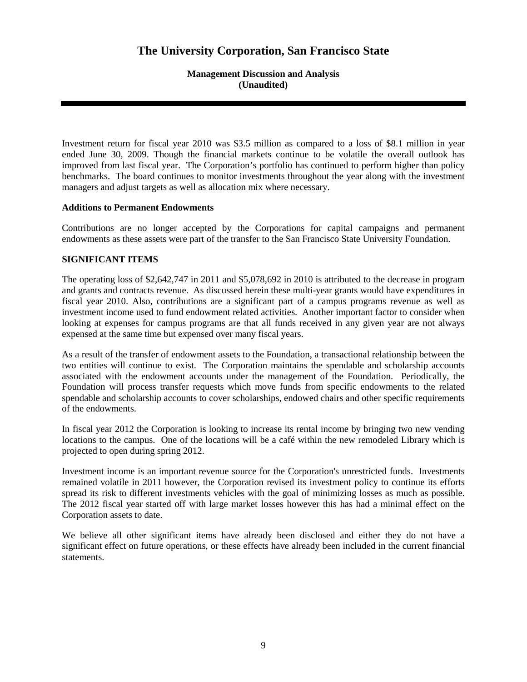**Management Discussion and Analysis (Unaudited)** 

Investment return for fiscal year 2010 was \$3.5 million as compared to a loss of \$8.1 million in year ended June 30, 2009. Though the financial markets continue to be volatile the overall outlook has improved from last fiscal year. The Corporation's portfolio has continued to perform higher than policy benchmarks. The board continues to monitor investments throughout the year along with the investment managers and adjust targets as well as allocation mix where necessary.

#### **Additions to Permanent Endowments**

Contributions are no longer accepted by the Corporations for capital campaigns and permanent endowments as these assets were part of the transfer to the San Francisco State University Foundation.

### **SIGNIFICANT ITEMS**

The operating loss of \$2,642,747 in 2011 and \$5,078,692 in 2010 is attributed to the decrease in program and grants and contracts revenue. As discussed herein these multi-year grants would have expenditures in fiscal year 2010. Also, contributions are a significant part of a campus programs revenue as well as investment income used to fund endowment related activities. Another important factor to consider when looking at expenses for campus programs are that all funds received in any given year are not always expensed at the same time but expensed over many fiscal years.

As a result of the transfer of endowment assets to the Foundation, a transactional relationship between the two entities will continue to exist. The Corporation maintains the spendable and scholarship accounts associated with the endowment accounts under the management of the Foundation. Periodically, the Foundation will process transfer requests which move funds from specific endowments to the related spendable and scholarship accounts to cover scholarships, endowed chairs and other specific requirements of the endowments.

In fiscal year 2012 the Corporation is looking to increase its rental income by bringing two new vending locations to the campus. One of the locations will be a café within the new remodeled Library which is projected to open during spring 2012.

Investment income is an important revenue source for the Corporation's unrestricted funds. Investments remained volatile in 2011 however, the Corporation revised its investment policy to continue its efforts spread its risk to different investments vehicles with the goal of minimizing losses as much as possible. The 2012 fiscal year started off with large market losses however this has had a minimal effect on the Corporation assets to date.

We believe all other significant items have already been disclosed and either they do not have a significant effect on future operations, or these effects have already been included in the current financial statements.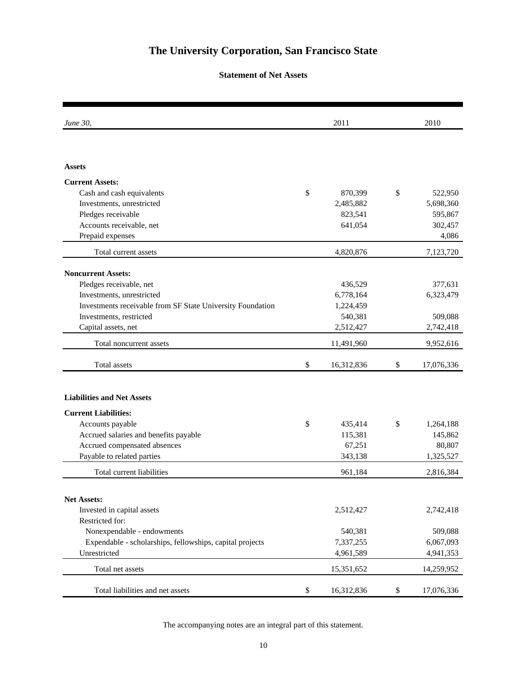### **Statement of Net Assets**

| June 30,                                                   | 2011             | 2010             |
|------------------------------------------------------------|------------------|------------------|
|                                                            |                  |                  |
| <b>Assets</b>                                              |                  |                  |
| <b>Current Assets:</b>                                     |                  |                  |
| Cash and cash equivalents                                  | \$<br>870,399    | \$<br>522,950    |
| Investments, unrestricted                                  | 2,485,882        | 5,698,360        |
| Pledges receivable                                         | 823,541          | 595,867          |
| Accounts receivable, net                                   | 641,054          | 302,457          |
| Prepaid expenses                                           |                  | 4,086            |
| Total current assets                                       | 4,820,876        | 7,123,720        |
| <b>Noncurrent Assets:</b>                                  |                  |                  |
| Pledges receivable, net                                    | 436,529          | 377,631          |
| Investments, unrestricted                                  | 6,778,164        | 6,323,479        |
| Investments receivable from SF State University Foundation | 1,224,459        |                  |
| Investments, restricted                                    | 540,381          | 509,088          |
| Capital assets, net                                        | 2,512,427        | 2,742,418        |
| Total noncurrent assets                                    | 11,491,960       | 9,952,616        |
| Total assets                                               | \$<br>16,312,836 | \$<br>17,076,336 |
|                                                            |                  |                  |
| <b>Liabilities and Net Assets</b>                          |                  |                  |
| <b>Current Liabilities:</b>                                |                  |                  |
| Accounts payable                                           | \$<br>435,414    | \$<br>1,264,188  |
| Accrued salaries and benefits payable                      | 115,381          | 145,862          |
| Accrued compensated absences                               | 67,251           | 80,807           |
| Payable to related parties                                 | 343,138          | 1,325,527        |
| Total current liabilities                                  | 961,184          | 2,816,384        |
|                                                            |                  |                  |
| <b>Net Assets:</b>                                         |                  |                  |
| Invested in capital assets                                 | 2,512,427        | 2,742,418        |
| Restricted for:                                            |                  |                  |
| Nonexpendable - endowments                                 | 540,381          | 509,088          |
| Expendable - scholarships, fellowships, capital projects   | 7,337,255        | 6,067,093        |
| Unrestricted                                               | 4,961,589        | 4,941,353        |
| Total net assets                                           | 15,351,652       | 14,259,952       |
| Total liabilities and net assets                           | \$<br>16,312,836 | \$<br>17,076,336 |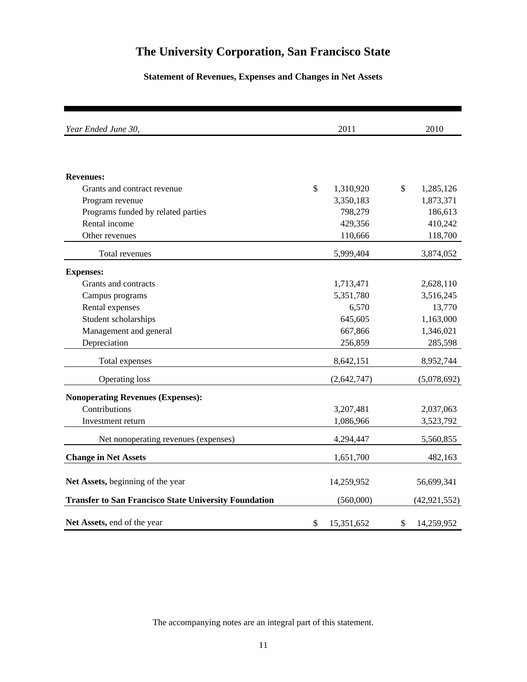## **Statement of Revenues, Expenses and Changes in Net Assets**

| Year Ended June 30,                                          | 2011             | 2010             |
|--------------------------------------------------------------|------------------|------------------|
|                                                              |                  |                  |
| <b>Revenues:</b>                                             |                  |                  |
| Grants and contract revenue                                  | \$<br>1,310,920  | \$<br>1,285,126  |
| Program revenue                                              | 3,350,183        | 1,873,371        |
| Programs funded by related parties                           | 798,279          | 186,613          |
| Rental income                                                | 429,356          | 410,242          |
| Other revenues                                               | 110,666          | 118,700          |
| Total revenues                                               | 5,999,404        | 3,874,052        |
| <b>Expenses:</b>                                             |                  |                  |
| Grants and contracts                                         | 1,713,471        | 2,628,110        |
| Campus programs                                              | 5,351,780        | 3,516,245        |
| Rental expenses                                              | 6,570            | 13,770           |
| Student scholarships                                         | 645,605          | 1,163,000        |
| Management and general                                       | 667,866          | 1,346,021        |
| Depreciation                                                 | 256,859          | 285,598          |
| Total expenses                                               | 8,642,151        | 8,952,744        |
| <b>Operating loss</b>                                        | (2, 642, 747)    | (5,078,692)      |
| <b>Nonoperating Revenues (Expenses):</b>                     |                  |                  |
| Contributions                                                | 3,207,481        | 2,037,063        |
| Investment return                                            | 1,086,966        | 3,523,792        |
| Net nonoperating revenues (expenses)                         | 4,294,447        | 5,560,855        |
| <b>Change in Net Assets</b>                                  | 1,651,700        | 482,163          |
| Net Assets, beginning of the year                            | 14,259,952       | 56,699,341       |
| <b>Transfer to San Francisco State University Foundation</b> | (560,000)        | (42, 921, 552)   |
| Net Assets, end of the year                                  | \$<br>15,351,652 | \$<br>14,259,952 |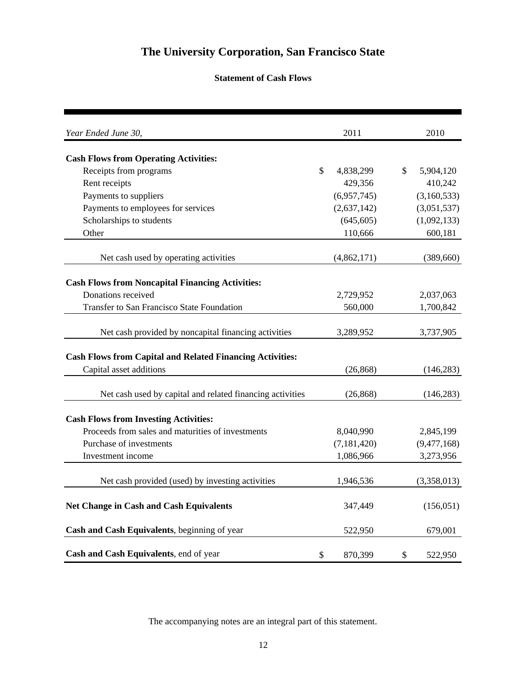## **Statement of Cash Flows**

| Year Ended June 30,                                              |               | 2011          | 2010            |
|------------------------------------------------------------------|---------------|---------------|-----------------|
| <b>Cash Flows from Operating Activities:</b>                     |               |               |                 |
| Receipts from programs                                           | $\mathcal{S}$ | 4,838,299     | \$<br>5,904,120 |
| Rent receipts                                                    |               | 429,356       | 410,242         |
| Payments to suppliers                                            |               | (6,957,745)   | (3,160,533)     |
| Payments to employees for services                               |               | (2,637,142)   | (3,051,537)     |
| Scholarships to students                                         |               | (645, 605)    | (1,092,133)     |
| Other                                                            |               | 110,666       | 600,181         |
| Net cash used by operating activities                            |               | (4,862,171)   | (389, 660)      |
|                                                                  |               |               |                 |
| <b>Cash Flows from Noncapital Financing Activities:</b>          |               |               |                 |
| Donations received                                               |               | 2,729,952     | 2,037,063       |
| Transfer to San Francisco State Foundation                       |               | 560,000       | 1,700,842       |
| Net cash provided by noncapital financing activities             |               | 3,289,952     | 3,737,905       |
| <b>Cash Flows from Capital and Related Financing Activities:</b> |               |               |                 |
| Capital asset additions                                          |               | (26, 868)     | (146, 283)      |
|                                                                  |               |               |                 |
| Net cash used by capital and related financing activities        |               | (26, 868)     | (146, 283)      |
| <b>Cash Flows from Investing Activities:</b>                     |               |               |                 |
| Proceeds from sales and maturities of investments                |               | 8,040,990     | 2,845,199       |
| Purchase of investments                                          |               | (7, 181, 420) | (9,477,168)     |
| Investment income                                                |               | 1,086,966     | 3,273,956       |
|                                                                  |               |               |                 |
| Net cash provided (used) by investing activities                 |               | 1,946,536     | (3,358,013)     |
| <b>Net Change in Cash and Cash Equivalents</b>                   |               | 347,449       | (156, 051)      |
| Cash and Cash Equivalents, beginning of year                     |               | 522,950       | 679,001         |
| Cash and Cash Equivalents, end of year                           | \$            | 870,399       | \$<br>522,950   |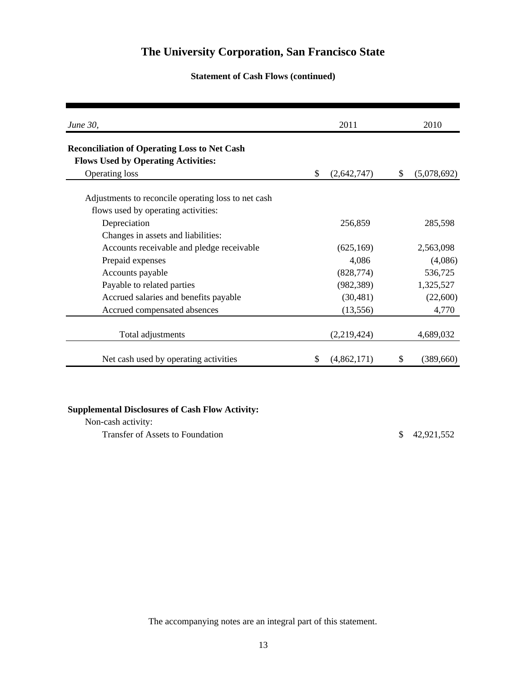### **Statement of Cash Flows (continued)**

| <i>June 30,</i>                                                                            |    | 2011        |              | 2010        |
|--------------------------------------------------------------------------------------------|----|-------------|--------------|-------------|
| <b>Reconciliation of Operating Loss to Net Cash</b>                                        |    |             |              |             |
| <b>Flows Used by Operating Activities:</b>                                                 |    |             |              |             |
| Operating loss                                                                             | \$ | (2,642,747) | \$           | (5,078,692) |
| Adjustments to reconcile operating loss to net cash<br>flows used by operating activities: |    |             |              |             |
| Depreciation                                                                               |    | 256,859     |              | 285,598     |
| Changes in assets and liabilities:                                                         |    |             |              |             |
| Accounts receivable and pledge receivable                                                  |    | (625, 169)  |              | 2,563,098   |
| Prepaid expenses                                                                           |    | 4,086       |              | (4,086)     |
| Accounts payable                                                                           |    | (828, 774)  |              | 536,725     |
| Payable to related parties                                                                 |    | (982, 389)  |              | 1,325,527   |
| Accrued salaries and benefits payable                                                      |    | (30, 481)   |              | (22,600)    |
| Accrued compensated absences                                                               |    | (13, 556)   |              | 4,770       |
| Total adjustments                                                                          |    | (2,219,424) |              | 4,689,032   |
| Net cash used by operating activities                                                      | S  | (4,862,171) | $\mathbb{S}$ | (389,660)   |

## **Supplemental Disclosures of Cash Flow Activity:**

Non-cash activity: Transfer of Assets to Foundation  $$ 42,921,552$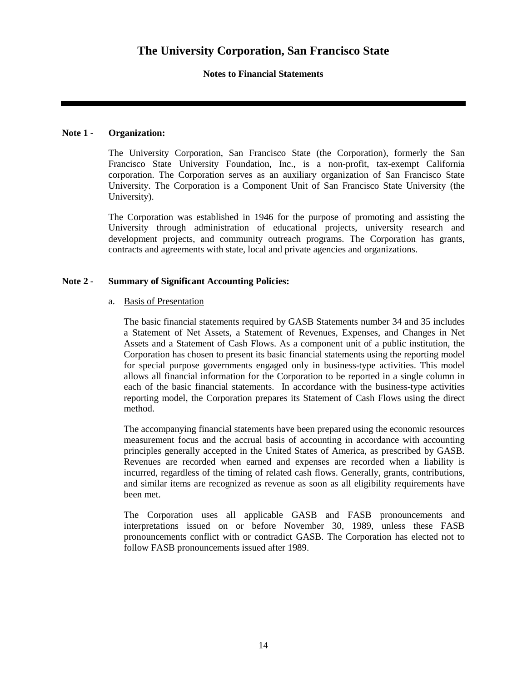#### **Notes to Financial Statements**

#### **Note 1 - Organization:**

The University Corporation, San Francisco State (the Corporation), formerly the San Francisco State University Foundation, Inc., is a non-profit, tax-exempt California corporation. The Corporation serves as an auxiliary organization of San Francisco State University. The Corporation is a Component Unit of San Francisco State University (the University).

The Corporation was established in 1946 for the purpose of promoting and assisting the University through administration of educational projects, university research and development projects, and community outreach programs. The Corporation has grants, contracts and agreements with state, local and private agencies and organizations.

#### **Note 2 - Summary of Significant Accounting Policies:**

#### a. Basis of Presentation

The basic financial statements required by GASB Statements number 34 and 35 includes a Statement of Net Assets, a Statement of Revenues, Expenses, and Changes in Net Assets and a Statement of Cash Flows. As a component unit of a public institution, the Corporation has chosen to present its basic financial statements using the reporting model for special purpose governments engaged only in business-type activities. This model allows all financial information for the Corporation to be reported in a single column in each of the basic financial statements. In accordance with the business-type activities reporting model, the Corporation prepares its Statement of Cash Flows using the direct method.

The accompanying financial statements have been prepared using the economic resources measurement focus and the accrual basis of accounting in accordance with accounting principles generally accepted in the United States of America, as prescribed by GASB. Revenues are recorded when earned and expenses are recorded when a liability is incurred, regardless of the timing of related cash flows. Generally, grants, contributions, and similar items are recognized as revenue as soon as all eligibility requirements have been met.

The Corporation uses all applicable GASB and FASB pronouncements and interpretations issued on or before November 30, 1989, unless these FASB pronouncements conflict with or contradict GASB. The Corporation has elected not to follow FASB pronouncements issued after 1989.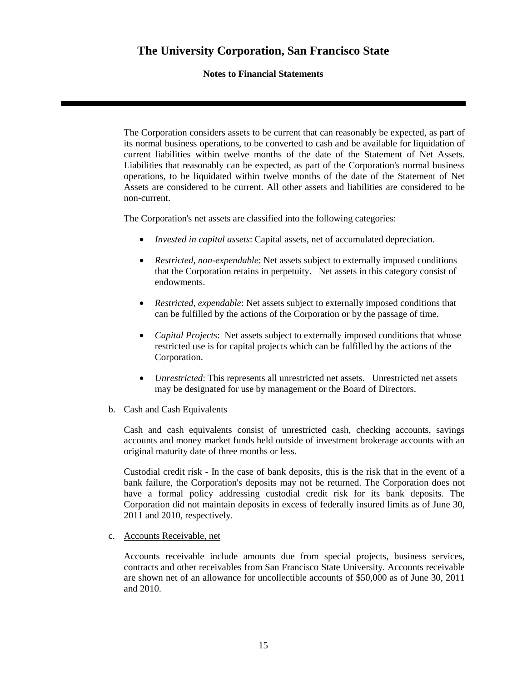### **Notes to Financial Statements**

The Corporation considers assets to be current that can reasonably be expected, as part of its normal business operations, to be converted to cash and be available for liquidation of current liabilities within twelve months of the date of the Statement of Net Assets. Liabilities that reasonably can be expected, as part of the Corporation's normal business operations, to be liquidated within twelve months of the date of the Statement of Net Assets are considered to be current. All other assets and liabilities are considered to be non-current.

The Corporation's net assets are classified into the following categories:

- *Invested in capital assets*: Capital assets, net of accumulated depreciation.
- *Restricted, non-expendable*: Net assets subject to externally imposed conditions that the Corporation retains in perpetuity. Net assets in this category consist of endowments.
- *Restricted, expendable*: Net assets subject to externally imposed conditions that can be fulfilled by the actions of the Corporation or by the passage of time.
- *Capital Projects*: Net assets subject to externally imposed conditions that whose restricted use is for capital projects which can be fulfilled by the actions of the Corporation.
- *Unrestricted*: This represents all unrestricted net assets. Unrestricted net assets may be designated for use by management or the Board of Directors.

### b. Cash and Cash Equivalents

Cash and cash equivalents consist of unrestricted cash, checking accounts, savings accounts and money market funds held outside of investment brokerage accounts with an original maturity date of three months or less.

Custodial credit risk - In the case of bank deposits, this is the risk that in the event of a bank failure, the Corporation's deposits may not be returned. The Corporation does not have a formal policy addressing custodial credit risk for its bank deposits. The Corporation did not maintain deposits in excess of federally insured limits as of June 30, 2011 and 2010, respectively.

#### c. Accounts Receivable, net

Accounts receivable include amounts due from special projects, business services, contracts and other receivables from San Francisco State University. Accounts receivable are shown net of an allowance for uncollectible accounts of \$50,000 as of June 30, 2011 and 2010.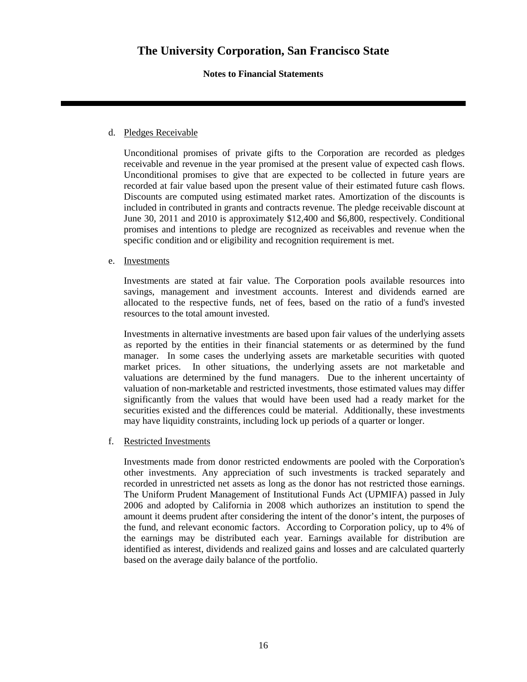### **Notes to Financial Statements**

#### d. Pledges Receivable

Unconditional promises of private gifts to the Corporation are recorded as pledges receivable and revenue in the year promised at the present value of expected cash flows. Unconditional promises to give that are expected to be collected in future years are recorded at fair value based upon the present value of their estimated future cash flows. Discounts are computed using estimated market rates. Amortization of the discounts is included in contributed in grants and contracts revenue. The pledge receivable discount at June 30, 2011 and 2010 is approximately \$12,400 and \$6,800, respectively. Conditional promises and intentions to pledge are recognized as receivables and revenue when the specific condition and or eligibility and recognition requirement is met.

#### e. Investments

Investments are stated at fair value. The Corporation pools available resources into savings, management and investment accounts. Interest and dividends earned are allocated to the respective funds, net of fees, based on the ratio of a fund's invested resources to the total amount invested.

Investments in alternative investments are based upon fair values of the underlying assets as reported by the entities in their financial statements or as determined by the fund manager. In some cases the underlying assets are marketable securities with quoted market prices. In other situations, the underlying assets are not marketable and valuations are determined by the fund managers. Due to the inherent uncertainty of valuation of non-marketable and restricted investments, those estimated values may differ significantly from the values that would have been used had a ready market for the securities existed and the differences could be material. Additionally, these investments may have liquidity constraints, including lock up periods of a quarter or longer.

#### f. Restricted Investments

Investments made from donor restricted endowments are pooled with the Corporation's other investments. Any appreciation of such investments is tracked separately and recorded in unrestricted net assets as long as the donor has not restricted those earnings. The Uniform Prudent Management of Institutional Funds Act (UPMIFA) passed in July 2006 and adopted by California in 2008 which authorizes an institution to spend the amount it deems prudent after considering the intent of the donor's intent, the purposes of the fund, and relevant economic factors. According to Corporation policy, up to 4% of the earnings may be distributed each year. Earnings available for distribution are identified as interest, dividends and realized gains and losses and are calculated quarterly based on the average daily balance of the portfolio.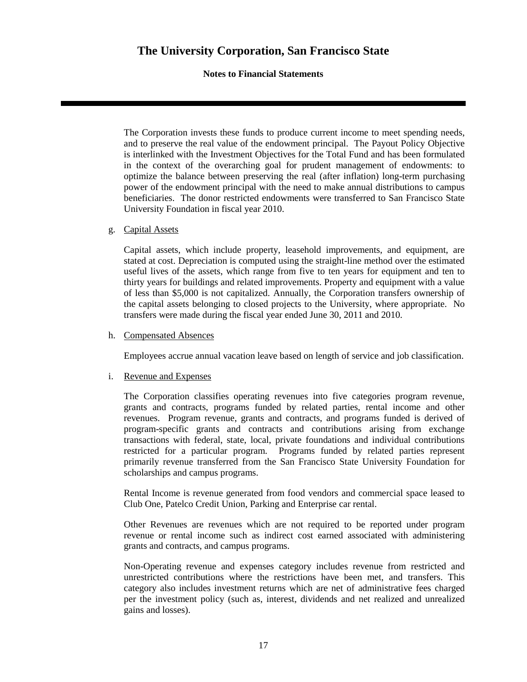### **Notes to Financial Statements**

The Corporation invests these funds to produce current income to meet spending needs, and to preserve the real value of the endowment principal. The Payout Policy Objective is interlinked with the Investment Objectives for the Total Fund and has been formulated in the context of the overarching goal for prudent management of endowments: to optimize the balance between preserving the real (after inflation) long-term purchasing power of the endowment principal with the need to make annual distributions to campus beneficiaries. The donor restricted endowments were transferred to San Francisco State University Foundation in fiscal year 2010.

#### g. Capital Assets

Capital assets, which include property, leasehold improvements, and equipment, are stated at cost. Depreciation is computed using the straight-line method over the estimated useful lives of the assets, which range from five to ten years for equipment and ten to thirty years for buildings and related improvements. Property and equipment with a value of less than \$5,000 is not capitalized. Annually, the Corporation transfers ownership of the capital assets belonging to closed projects to the University, where appropriate. No transfers were made during the fiscal year ended June 30, 2011 and 2010.

#### h. Compensated Absences

Employees accrue annual vacation leave based on length of service and job classification.

#### i. Revenue and Expenses

The Corporation classifies operating revenues into five categories program revenue, grants and contracts, programs funded by related parties, rental income and other revenues. Program revenue, grants and contracts, and programs funded is derived of program-specific grants and contracts and contributions arising from exchange transactions with federal, state, local, private foundations and individual contributions restricted for a particular program. Programs funded by related parties represent primarily revenue transferred from the San Francisco State University Foundation for scholarships and campus programs.

Rental Income is revenue generated from food vendors and commercial space leased to Club One, Patelco Credit Union, Parking and Enterprise car rental.

Other Revenues are revenues which are not required to be reported under program revenue or rental income such as indirect cost earned associated with administering grants and contracts, and campus programs.

Non-Operating revenue and expenses category includes revenue from restricted and unrestricted contributions where the restrictions have been met, and transfers. This category also includes investment returns which are net of administrative fees charged per the investment policy (such as, interest, dividends and net realized and unrealized gains and losses).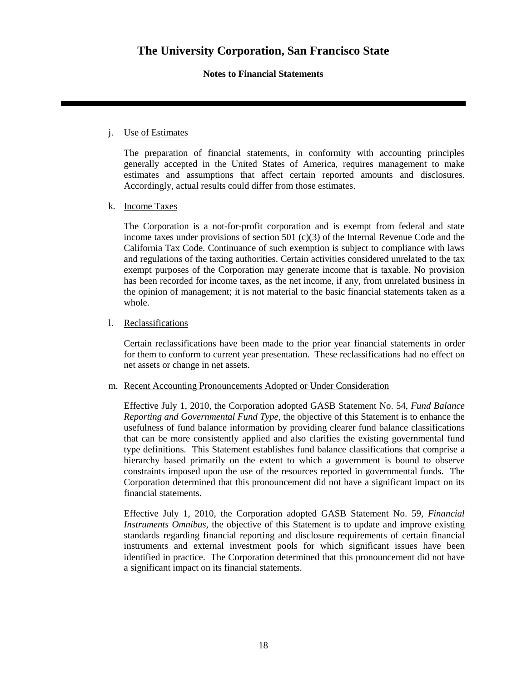#### **Notes to Financial Statements**

#### j. Use of Estimates

The preparation of financial statements, in conformity with accounting principles generally accepted in the United States of America, requires management to make estimates and assumptions that affect certain reported amounts and disclosures. Accordingly, actual results could differ from those estimates.

#### k. Income Taxes

The Corporation is a not-for-profit corporation and is exempt from federal and state income taxes under provisions of section 501 (c)(3) of the Internal Revenue Code and the California Tax Code. Continuance of such exemption is subject to compliance with laws and regulations of the taxing authorities. Certain activities considered unrelated to the tax exempt purposes of the Corporation may generate income that is taxable. No provision has been recorded for income taxes, as the net income, if any, from unrelated business in the opinion of management; it is not material to the basic financial statements taken as a whole.

#### l. Reclassifications

Certain reclassifications have been made to the prior year financial statements in order for them to conform to current year presentation. These reclassifications had no effect on net assets or change in net assets.

#### m. Recent Accounting Pronouncements Adopted or Under Consideration

Effective July 1, 2010, the Corporation adopted GASB Statement No. 54, *Fund Balance Reporting and Governmental Fund Type*, the objective of this Statement is to enhance the usefulness of fund balance information by providing clearer fund balance classifications that can be more consistently applied and also clarifies the existing governmental fund type definitions. This Statement establishes fund balance classifications that comprise a hierarchy based primarily on the extent to which a government is bound to observe constraints imposed upon the use of the resources reported in governmental funds. The Corporation determined that this pronouncement did not have a significant impact on its financial statements.

Effective July 1, 2010, the Corporation adopted GASB Statement No. 59, *Financial Instruments Omnibus*, the objective of this Statement is to update and improve existing standards regarding financial reporting and disclosure requirements of certain financial instruments and external investment pools for which significant issues have been identified in practice. The Corporation determined that this pronouncement did not have a significant impact on its financial statements.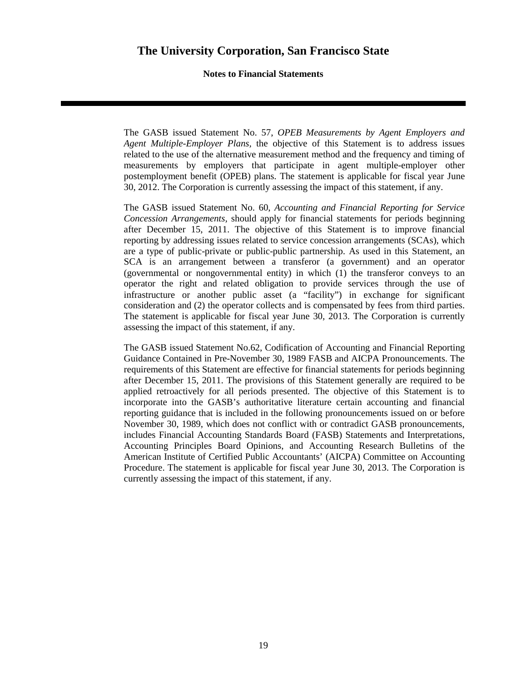**Notes to Financial Statements** 

The GASB issued Statement No. 57, *OPEB Measurements by Agent Employers and Agent Multiple-Employer Plans,* the objective of this Statement is to address issues related to the use of the alternative measurement method and the frequency and timing of measurements by employers that participate in agent multiple-employer other postemployment benefit (OPEB) plans. The statement is applicable for fiscal year June 30, 2012. The Corporation is currently assessing the impact of this statement, if any.

The GASB issued Statement No. 60, *Accounting and Financial Reporting for Service Concession Arrangements,* should apply for financial statements for periods beginning after December 15, 2011. The objective of this Statement is to improve financial reporting by addressing issues related to service concession arrangements (SCAs), which are a type of public-private or public-public partnership. As used in this Statement, an SCA is an arrangement between a transferor (a government) and an operator (governmental or nongovernmental entity) in which (1) the transferor conveys to an operator the right and related obligation to provide services through the use of infrastructure or another public asset (a "facility") in exchange for significant consideration and (2) the operator collects and is compensated by fees from third parties. The statement is applicable for fiscal year June 30, 2013. The Corporation is currently assessing the impact of this statement, if any.

The GASB issued Statement No.62, Codification of Accounting and Financial Reporting Guidance Contained in Pre-November 30, 1989 FASB and AICPA Pronouncements. The requirements of this Statement are effective for financial statements for periods beginning after December 15, 2011. The provisions of this Statement generally are required to be applied retroactively for all periods presented. The objective of this Statement is to incorporate into the GASB's authoritative literature certain accounting and financial reporting guidance that is included in the following pronouncements issued on or before November 30, 1989, which does not conflict with or contradict GASB pronouncements, includes Financial Accounting Standards Board (FASB) Statements and Interpretations, Accounting Principles Board Opinions, and Accounting Research Bulletins of the American Institute of Certified Public Accountants' (AICPA) Committee on Accounting Procedure. The statement is applicable for fiscal year June 30, 2013. The Corporation is currently assessing the impact of this statement, if any.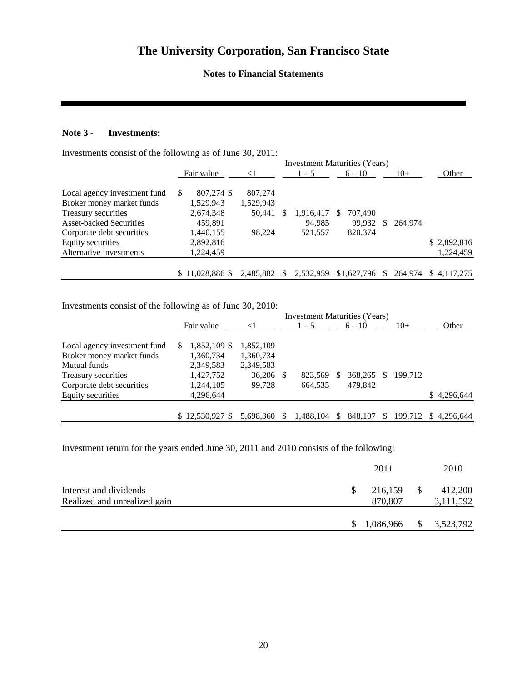#### **Notes to Financial Statements**

### **Note 3 - Investments:**

Investments consist of the following as of June 30, 2011:

|                                |                  |           |    |           | <b>Investment Maturities (Years)</b> |     |         |                     |
|--------------------------------|------------------|-----------|----|-----------|--------------------------------------|-----|---------|---------------------|
|                                | Fair value       | $\leq$ 1  |    | $1 - 5$   | $6 - 10$                             |     | $10+$   | Other               |
| Local agency investment fund   | 807,274 \$<br>S  | 807,274   |    |           |                                      |     |         |                     |
| Broker money market funds      | 1,529,943        | 1,529,943 |    |           |                                      |     |         |                     |
| Treasury securities            | 2,674,348        | 50,441    |    | 1,916,417 | 707,490<br>S.                        |     |         |                     |
| <b>Asset-backed Securities</b> | 459,891          |           |    | 94.985    | 99.932                               | -SS | 264.974 |                     |
| Corporate debt securities      | 1,440,155        | 98.224    |    | 521,557   | 820,374                              |     |         |                     |
| Equity securities              | 2,892,816        |           |    |           |                                      |     |         | \$2,892,816         |
| Alternative investments        | 1,224,459        |           |    |           |                                      |     |         | 1,224,459           |
|                                |                  |           |    |           |                                      |     |         |                     |
|                                | $$11.028.886$ \$ | 2.485.882 | -S | 2.532.959 | \$1,627,796                          | -SS |         | 264.974 \$4.117.275 |

Investments consist of the following as of June 30, 2010:

|                              |                  |           |    | <b>Investment Maturities (Years)</b> |               |          |              |         |             |
|------------------------------|------------------|-----------|----|--------------------------------------|---------------|----------|--------------|---------|-------------|
|                              | Fair value       | $\leq$ 1  |    | $1 - 5$                              |               | $6 - 10$ |              | $10+$   | Other       |
| Local agency investment fund | 1,852,109 \$     | 1,852,109 |    |                                      |               |          |              |         |             |
| Broker money market funds    | 1,360,734        | 1,360,734 |    |                                      |               |          |              |         |             |
| Mutual funds                 | 2,349,583        | 2,349,583 |    |                                      |               |          |              |         |             |
| Treasury securities          | 1,427,752        | 36,206 \$ |    | 823,569                              | \$.           | 368,265  | $\mathbb{S}$ | 199.712 |             |
| Corporate debt securities    | 1,244,105        | 99.728    |    | 664.535                              |               | 479.842  |              |         |             |
| Equity securities            | 4,296,644        |           |    |                                      |               |          |              |         | \$4,296,644 |
|                              |                  |           |    |                                      |               |          |              |         |             |
|                              | $$12,530,927$ \$ | 5.698.360 | -S | 1,488,104                            | <sup>\$</sup> | 848,107  | S.           | 199.712 | \$4.296.644 |

Investment return for the years ended June 30, 2011 and 2010 consists of the following:

|                                                        | 2011               | 2010                 |
|--------------------------------------------------------|--------------------|----------------------|
| Interest and dividends<br>Realized and unrealized gain | 216,159<br>870,807 | 412,200<br>3,111,592 |
|                                                        | 1,086,966          | 3,523,792            |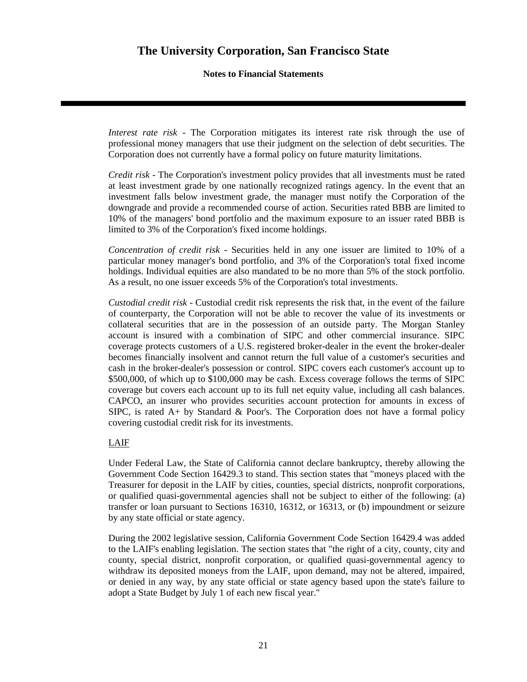**Notes to Financial Statements** 

*Interest rate risk* - The Corporation mitigates its interest rate risk through the use of professional money managers that use their judgment on the selection of debt securities. The Corporation does not currently have a formal policy on future maturity limitations.

*Credit risk* - The Corporation's investment policy provides that all investments must be rated at least investment grade by one nationally recognized ratings agency. In the event that an investment falls below investment grade, the manager must notify the Corporation of the downgrade and provide a recommended course of action. Securities rated BBB are limited to 10% of the managers' bond portfolio and the maximum exposure to an issuer rated BBB is limited to 3% of the Corporation's fixed income holdings.

*Concentration of credit risk* - Securities held in any one issuer are limited to 10% of a particular money manager's bond portfolio, and 3% of the Corporation's total fixed income holdings. Individual equities are also mandated to be no more than 5% of the stock portfolio. As a result, no one issuer exceeds 5% of the Corporation's total investments.

*Custodial credit risk* - Custodial credit risk represents the risk that, in the event of the failure of counterparty, the Corporation will not be able to recover the value of its investments or collateral securities that are in the possession of an outside party. The Morgan Stanley account is insured with a combination of SIPC and other commercial insurance. SIPC coverage protects customers of a U.S. registered broker-dealer in the event the broker-dealer becomes financially insolvent and cannot return the full value of a customer's securities and cash in the broker-dealer's possession or control. SIPC covers each customer's account up to \$500,000, of which up to \$100,000 may be cash. Excess coverage follows the terms of SIPC coverage but covers each account up to its full net equity value, including all cash balances. CAPCO, an insurer who provides securities account protection for amounts in excess of SIPC, is rated  $A+$  by Standard & Poor's. The Corporation does not have a formal policy covering custodial credit risk for its investments.

### LAIF

Under Federal Law, the State of California cannot declare bankruptcy, thereby allowing the Government Code Section 16429.3 to stand. This section states that "moneys placed with the Treasurer for deposit in the LAIF by cities, counties, special districts, nonprofit corporations, or qualified quasi-governmental agencies shall not be subject to either of the following: (a) transfer or loan pursuant to Sections 16310, 16312, or 16313, or (b) impoundment or seizure by any state official or state agency.

During the 2002 legislative session, California Government Code Section 16429.4 was added to the LAIF's enabling legislation. The section states that "the right of a city, county, city and county, special district, nonprofit corporation, or qualified quasi-governmental agency to withdraw its deposited moneys from the LAIF, upon demand, may not be altered, impaired, or denied in any way, by any state official or state agency based upon the state's failure to adopt a State Budget by July 1 of each new fiscal year."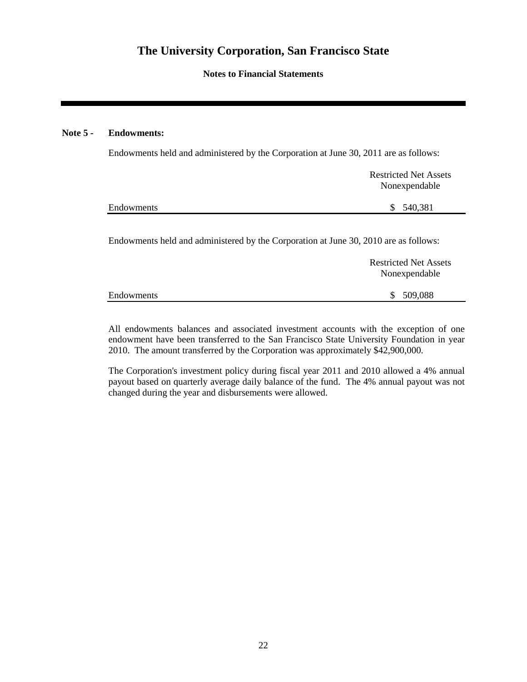**Notes to Financial Statements** 

### **Note 5 - Endowments:**

Endowments held and administered by the Corporation at June 30, 2011 are as follows:

|            | <b>Restricted Net Assets</b> |
|------------|------------------------------|
|            | Nonexpendable                |
| Endowments | 540,381<br>S.                |
|            |                              |

Endowments held and administered by the Corporation at June 30, 2010 are as follows:

|            | <b>Restricted Net Assets</b><br>Nonexpendable |
|------------|-----------------------------------------------|
| Endowments | \$509,088                                     |

All endowments balances and associated investment accounts with the exception of one endowment have been transferred to the San Francisco State University Foundation in year 2010. The amount transferred by the Corporation was approximately \$42,900,000.

The Corporation's investment policy during fiscal year 2011 and 2010 allowed a 4% annual payout based on quarterly average daily balance of the fund. The 4% annual payout was not changed during the year and disbursements were allowed.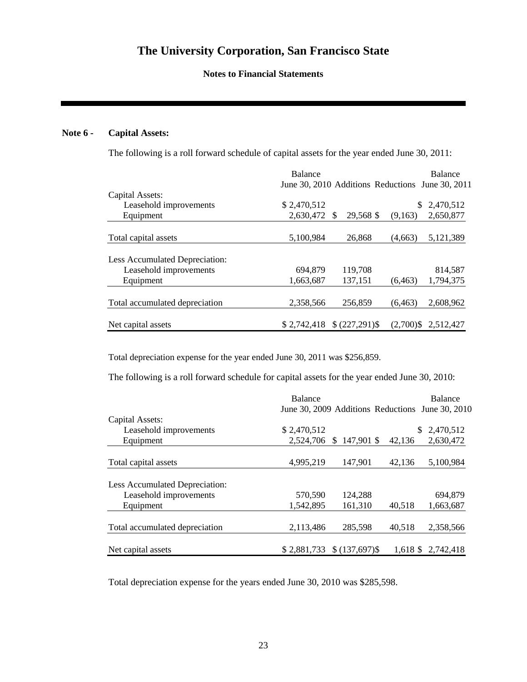**Notes to Financial Statements** 

### **Note 6 - Capital Assets:**

The following is a roll forward schedule of capital assets for the year ended June 30, 2011:

|                                | Balance                                          |                 |          | Balance                |
|--------------------------------|--------------------------------------------------|-----------------|----------|------------------------|
|                                | June 30, 2010 Additions Reductions June 30, 2011 |                 |          |                        |
| Capital Assets:                |                                                  |                 |          |                        |
| Leasehold improvements         | \$2,470,512                                      |                 | S.       | 2,470,512              |
| Equipment                      | 2,630,472                                        | 29,568 \$<br>-S | (9,163)  | 2,650,877              |
| Total capital assets           | 5,100,984                                        | 26,868          | (4.663)  | 5,121,389              |
| Less Accumulated Depreciation: |                                                  |                 |          |                        |
| Leasehold improvements         | 694,879                                          | 119,708         |          | 814,587                |
| Equipment                      | 1,663,687                                        | 137,151         | (6, 463) | 1,794,375              |
| Total accumulated depreciation | 2,358,566                                        | 256,859         | (6.463)  | 2,608,962              |
| Net capital assets             | \$2,742,418                                      | $$(227,291)$ \$ |          | $(2,700)$ \$ 2,512,427 |

Total depreciation expense for the year ended June 30, 2011 was \$256,859.

The following is a roll forward schedule for capital assets for the year ended June 30, 2010:

|                                | Balance     |                 |        | Balance                                          |
|--------------------------------|-------------|-----------------|--------|--------------------------------------------------|
|                                |             |                 |        | June 30, 2009 Additions Reductions June 30, 2010 |
| Capital Assets:                |             |                 |        |                                                  |
| Leasehold improvements         | \$2,470,512 |                 |        | 2,470,512<br>S.                                  |
| Equipment                      | 2,524,706   | $$147,901$ \$   | 42,136 | 2,630,472                                        |
| Total capital assets           | 4,995,219   | 147,901         | 42,136 | 5,100,984                                        |
| Less Accumulated Depreciation: |             |                 |        |                                                  |
| Leasehold improvements         | 570,590     | 124,288         |        | 694,879                                          |
| Equipment                      | 1,542,895   | 161,310         | 40,518 | 1,663,687                                        |
| Total accumulated depreciation | 2,113,486   | 285,598         | 40.518 | 2,358,566                                        |
| Net capital assets             | \$2,881,733 | $$(137,697)$ \$ |        | 1,618 \$ 2,742,418                               |

Total depreciation expense for the years ended June 30, 2010 was \$285,598.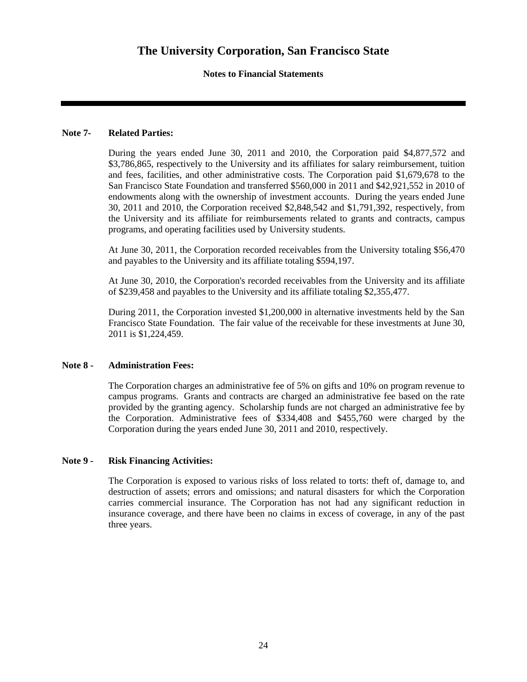### **Notes to Financial Statements**

#### **Note 7- Related Parties:**

During the years ended June 30, 2011 and 2010, the Corporation paid \$4,877,572 and \$3,786,865, respectively to the University and its affiliates for salary reimbursement, tuition and fees, facilities, and other administrative costs. The Corporation paid \$1,679,678 to the San Francisco State Foundation and transferred \$560,000 in 2011 and \$42,921,552 in 2010 of endowments along with the ownership of investment accounts. During the years ended June 30, 2011 and 2010, the Corporation received \$2,848,542 and \$1,791,392, respectively, from the University and its affiliate for reimbursements related to grants and contracts, campus programs, and operating facilities used by University students.

At June 30, 2011, the Corporation recorded receivables from the University totaling \$56,470 and payables to the University and its affiliate totaling \$594,197.

At June 30, 2010, the Corporation's recorded receivables from the University and its affiliate of \$239,458 and payables to the University and its affiliate totaling \$2,355,477.

During 2011, the Corporation invested \$1,200,000 in alternative investments held by the San Francisco State Foundation. The fair value of the receivable for these investments at June 30, 2011 is \$1,224,459.

#### **Note 8 - Administration Fees:**

The Corporation charges an administrative fee of 5% on gifts and 10% on program revenue to campus programs. Grants and contracts are charged an administrative fee based on the rate provided by the granting agency. Scholarship funds are not charged an administrative fee by the Corporation. Administrative fees of \$334,408 and \$455,760 were charged by the Corporation during the years ended June 30, 2011 and 2010, respectively.

#### **Note 9 - Risk Financing Activities:**

The Corporation is exposed to various risks of loss related to torts: theft of, damage to, and destruction of assets; errors and omissions; and natural disasters for which the Corporation carries commercial insurance. The Corporation has not had any significant reduction in insurance coverage, and there have been no claims in excess of coverage, in any of the past three years.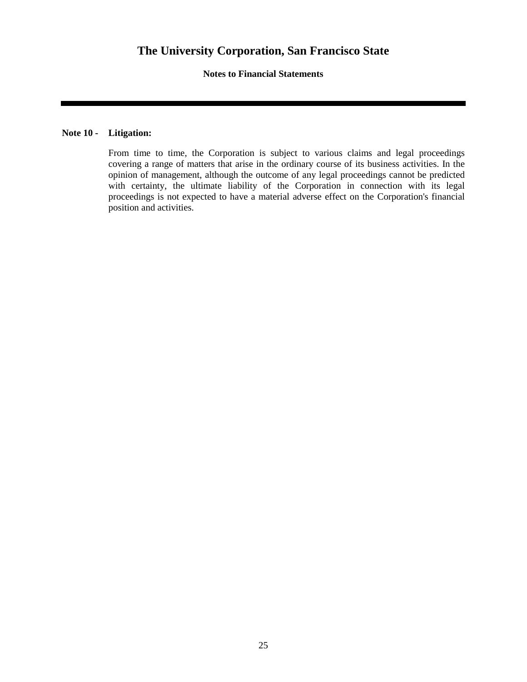**Notes to Financial Statements** 

### **Note 10 - Litigation:**

From time to time, the Corporation is subject to various claims and legal proceedings covering a range of matters that arise in the ordinary course of its business activities. In the opinion of management, although the outcome of any legal proceedings cannot be predicted with certainty, the ultimate liability of the Corporation in connection with its legal proceedings is not expected to have a material adverse effect on the Corporation's financial position and activities.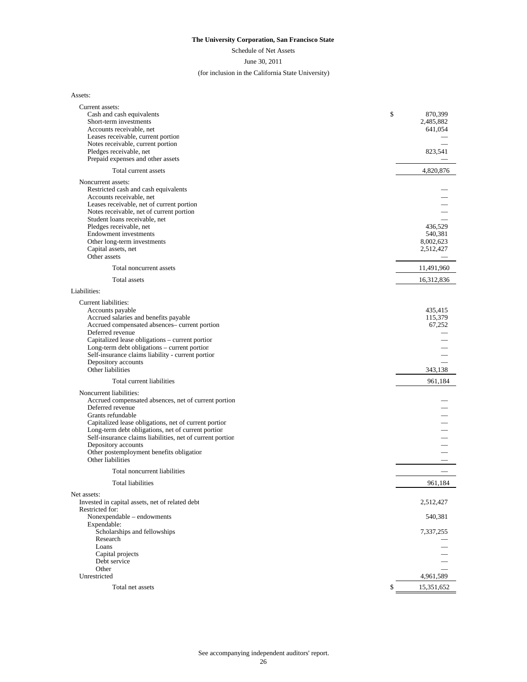Schedule of Net Assets

June 30, 2011

#### (for inclusion in the California State University)

Assets:

| Current assets:                                                                                 |                        |
|-------------------------------------------------------------------------------------------------|------------------------|
| Cash and cash equivalents                                                                       | \$<br>870,399          |
| Short-term investments<br>Accounts receivable, net                                              | 2,485,882<br>641,054   |
| Leases receivable, current portion                                                              |                        |
| Notes receivable, current portion                                                               |                        |
| Pledges receivable, net                                                                         | 823,541                |
| Prepaid expenses and other assets                                                               |                        |
| Total current assets                                                                            | 4,820,876              |
| Noncurrent assets:                                                                              |                        |
| Restricted cash and cash equivalents                                                            |                        |
| Accounts receivable, net<br>Leases receivable, net of current portion                           |                        |
| Notes receivable, net of current portion                                                        |                        |
| Student loans receivable, net                                                                   |                        |
| Pledges receivable, net                                                                         | 436,529                |
| <b>Endowment</b> investments                                                                    | 540,381                |
| Other long-term investments<br>Capital assets, net                                              | 8,002,623<br>2,512,427 |
| Other assets                                                                                    |                        |
| Total noncurrent assets                                                                         | 11,491,960             |
| Total assets                                                                                    | 16,312,836             |
| Liabilities:                                                                                    |                        |
| Current liabilities:                                                                            |                        |
| Accounts payable                                                                                | 435,415                |
| Accrued salaries and benefits payable                                                           | 115,379                |
| Accrued compensated absences- current portion                                                   | 67,252                 |
| Deferred revenue                                                                                |                        |
| Capitalized lease obligations - current portion<br>Long-term debt obligations - current portion |                        |
| Self-insurance claims liability - current portion                                               |                        |
| Depository accounts                                                                             |                        |
| Other liabilities                                                                               | 343,138                |
| Total current liabilities                                                                       | 961,184                |
| Noncurrent liabilities:                                                                         |                        |
| Accrued compensated absences, net of current portion<br>Deferred revenue                        |                        |
| Grants refundable                                                                               |                        |
| Capitalized lease obligations, net of current portion                                           |                        |
| Long-term debt obligations, net of current portion                                              |                        |
| Self-insurance claims liabilities, net of current portion                                       |                        |
| Depository accounts<br>Other postemployment benefits obligation                                 |                        |
| Other liabilities                                                                               |                        |
| Total noncurrent liabilities                                                                    |                        |
| Total liabilities                                                                               | 961,184                |
| Net assets:                                                                                     |                        |
| Invested in capital assets, net of related debt                                                 | 2,512,427              |
| Restricted for:                                                                                 |                        |
| Nonexpendable - endowments                                                                      | 540,381                |
| Expendable:<br>Scholarships and fellowships                                                     | 7,337,255              |
| Research                                                                                        |                        |
| Loans                                                                                           |                        |
| Capital projects                                                                                |                        |
| Debt service                                                                                    |                        |
| Other<br>Unrestricted                                                                           | 4,961,589              |
| Total net assets                                                                                | \$<br>15,351,652       |
|                                                                                                 |                        |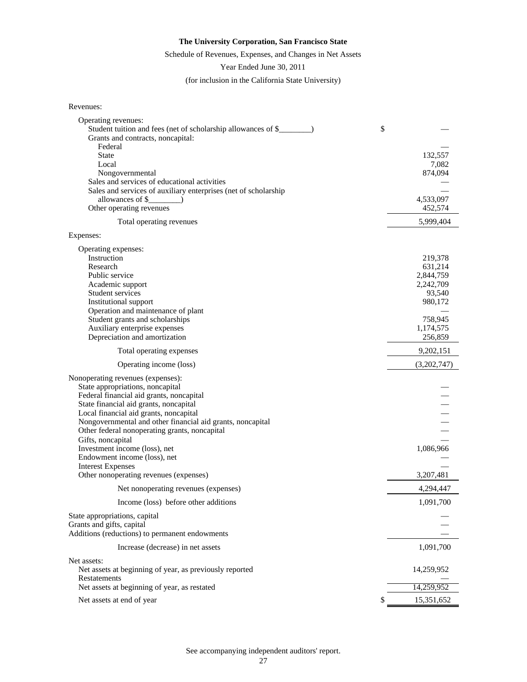#### Schedule of Revenues, Expenses, and Changes in Net Assets

Year Ended June 30, 2011

(for inclusion in the California State University)

| Revenues: |
|-----------|
|-----------|

| Operating revenues:                                                |    |             |
|--------------------------------------------------------------------|----|-------------|
|                                                                    | \$ |             |
| Grants and contracts, noncapital:                                  |    |             |
| Federal                                                            |    |             |
| <b>State</b>                                                       |    | 132,557     |
| Local                                                              |    | 7,082       |
| Nongovernmental                                                    |    | 874,094     |
| Sales and services of educational activities                       |    |             |
| Sales and services of auxiliary enterprises (net of scholarship    |    |             |
| allowances of \$                                                   |    | 4,533,097   |
| Other operating revenues                                           |    | 452,574     |
| Total operating revenues                                           |    | 5,999,404   |
| Expenses:                                                          |    |             |
| Operating expenses:                                                |    |             |
| Instruction                                                        |    | 219,378     |
| Research                                                           |    | 631,214     |
| Public service                                                     |    | 2,844,759   |
| Academic support                                                   |    | 2,242,709   |
| Student services                                                   |    | 93,540      |
| Institutional support                                              |    | 980,172     |
| Operation and maintenance of plant                                 |    |             |
| Student grants and scholarships                                    |    | 758,945     |
| Auxiliary enterprise expenses                                      |    | 1,174,575   |
| Depreciation and amortization                                      |    | 256,859     |
| Total operating expenses                                           |    | 9,202,151   |
| Operating income (loss)                                            |    | (3,202,747) |
| Nonoperating revenues (expenses):                                  |    |             |
| State appropriations, noncapital                                   |    |             |
| Federal financial aid grants, noncapital                           |    |             |
| State financial aid grants, noncapital                             |    |             |
| Local financial aid grants, noncapital                             |    |             |
| Nongovernmental and other financial aid grants, noncapital         |    |             |
|                                                                    |    |             |
| Other federal nonoperating grants, noncapital                      |    |             |
| Gifts, noncapital                                                  |    | 1,086,966   |
| Investment income (loss), net                                      |    |             |
| Endowment income (loss), net                                       |    |             |
| <b>Interest Expenses</b><br>Other nonoperating revenues (expenses) |    | 3,207,481   |
| Net nonoperating revenues (expenses)                               |    | 4,294,447   |
| Income (loss) before other additions                               |    | 1,091,700   |
| State appropriations, capital                                      |    |             |
| Grants and gifts, capital                                          |    |             |
| Additions (reductions) to permanent endowments                     |    |             |
|                                                                    |    |             |
| Increase (decrease) in net assets                                  |    | 1,091,700   |
| Net assets:                                                        |    |             |
| Net assets at beginning of year, as previously reported            |    | 14,259,952  |
| Restatements<br>Net assets at beginning of year, as restated       |    | 14,259,952  |
|                                                                    |    |             |
| Net assets at end of year                                          | S  | 15,351,652  |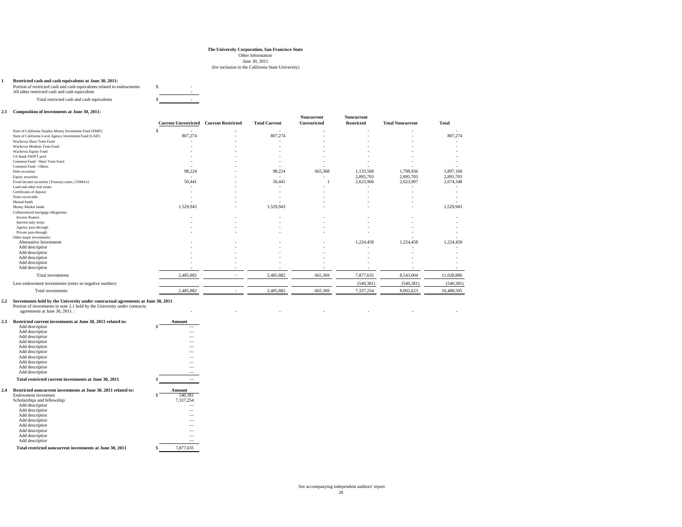June 30, 2011

#### (for inclusion in the California State University)

#### **1 Restricted cash and cash equivalents at June 30, 2011:**

| Portion of restricted cash and cash equivalents related to endowments |  |  |
|-----------------------------------------------------------------------|--|--|
| All other restricted cash and cash equivalent                         |  |  |
| Total restricted cash and cash equivalents                            |  |  |

#### **2.1 Composition of investments at June 30, 2011:**

|                                                          | <b>Current Unrestricted</b> | <b>Current Restricted</b> | <b>Total Current</b>     | Noncurrent<br>Unrestricted | Noncurrent<br><b>Restricted</b> | <b>Total Noncurrent</b> | <b>Total</b> |
|----------------------------------------------------------|-----------------------------|---------------------------|--------------------------|----------------------------|---------------------------------|-------------------------|--------------|
| State of California Surplus Money Investment Fund (SMIF) | $\sim$                      |                           | $\sim$                   |                            |                                 |                         | $\sim$       |
| State of California Local Agency Investment Fund (LAIF)  | 807,274                     |                           | 807,274                  |                            |                                 |                         | 807,274      |
| Wachovia Short Term Fund                                 |                             |                           | $\overline{\phantom{a}}$ |                            |                                 |                         |              |
| Wachovia Medium Term Fund                                |                             |                           |                          |                            |                                 |                         |              |
| Wachovia Equity Fund                                     |                             |                           |                          |                            |                                 |                         |              |
| <b>US Bank SWIFT pool</b>                                |                             |                           |                          |                            |                                 |                         |              |
| Common Fund - Short Term Fund                            |                             |                           |                          |                            |                                 |                         |              |
| Common Fund - Others                                     |                             |                           | $\overline{\phantom{a}}$ |                            |                                 |                         |              |
| Debt securities                                          | 98,224                      |                           | 98,224                   | 665,368                    | 1,133,568                       | 1,798,936               | 1,897,160    |
| Equity securities                                        | $\sim$                      |                           | $\sim$                   | $\sim$                     | 2,895,703                       | 2,895,703               | 2,895,703    |
| Fixed income securities (Treasury notes, GNMA's)         | 50,441                      |                           | 50,441                   |                            | 2,623,906                       | 2,623,907               | 2,674,348    |
| Land and other real estate                               |                             |                           | $\overline{\phantom{a}}$ |                            |                                 |                         |              |
| Certificates of deposit                                  |                             |                           | $\overline{\phantom{a}}$ |                            |                                 |                         |              |
| Notes receivable                                         |                             |                           |                          |                            |                                 |                         |              |
| Mutual funds                                             |                             |                           |                          |                            |                                 |                         |              |
| Money Market funds                                       | 1,529,943                   |                           | 1,529,943                |                            |                                 |                         | 1,529,943    |
| Collateralized mortgage obligations:                     |                             |                           |                          |                            |                                 |                         |              |
| Inverse floaters                                         |                             |                           |                          |                            |                                 |                         |              |
| Interest-only strips                                     |                             |                           |                          |                            |                                 |                         |              |
| Agency pass-through                                      |                             |                           |                          |                            |                                 |                         |              |
| Private pass-through                                     |                             |                           |                          | ٠.                         |                                 |                         |              |
| Other major investments:                                 |                             |                           |                          |                            |                                 |                         |              |
| Alternative Investments                                  |                             |                           |                          |                            | 1,224,458                       | 1,224,458               | 1,224,458    |
| Add description                                          |                             |                           |                          |                            |                                 |                         |              |
| Add description                                          |                             |                           |                          |                            |                                 |                         |              |
| Add description                                          |                             |                           |                          |                            |                                 |                         |              |
| Add description                                          |                             |                           |                          |                            |                                 |                         |              |
| Add description                                          |                             |                           |                          |                            |                                 |                         |              |
| Total investments                                        | 2,485,882                   | <b>1999</b>               | 2,485,882                | 665,369                    | 7,877,635                       | 8,543,004               | 11,028,886   |
| Less endowment investments (enter as negative number)    |                             |                           |                          |                            | (540, 381)                      | (540, 381)              | (540, 381)   |
| Total investments                                        | 2,485,882                   | <b>1999</b>               | 2,485,882                | 665,369                    | 7,337,254                       | 8.002.623               | 10,488,505   |

|     | Investments held by the University under contractual agreements at June 30, 2011 |                          |  |  |  |
|-----|----------------------------------------------------------------------------------|--------------------------|--|--|--|
|     | Portion of investments in note 2.1 held by the University under contractu        |                          |  |  |  |
|     | agreements at June 30, 2011 :                                                    |                          |  |  |  |
| 2.3 | Restricted current investments at June 30, 2011 related to:                      | Amount                   |  |  |  |
|     | Add description                                                                  | $\overline{\phantom{a}}$ |  |  |  |
|     | Add description                                                                  | $\overline{\phantom{a}}$ |  |  |  |
|     | A did december 2000                                                              |                          |  |  |  |

|     | Add description                                                |                 |
|-----|----------------------------------------------------------------|-----------------|
|     | Add description                                                |                 |
|     | Add description                                                |                 |
|     | Add description                                                |                 |
|     | Add description                                                |                 |
|     | Add description                                                |                 |
|     | Add description                                                |                 |
|     | Add description                                                |                 |
|     | Total restricted current investments at June 30, 2011          |                 |
| 2.4 | Restricted noncurrent investments at June 30, 2011 related to: | Amount          |
|     | Endowment investmen                                            | \$<br>540.381   |
|     | Scholarships and fellowship:                                   | 7,337,254       |
|     | Add description                                                |                 |
|     | Add description                                                |                 |
|     | Add description                                                |                 |
|     | Add description                                                |                 |
|     | Add description                                                |                 |
|     | Add description                                                |                 |
|     | Add description                                                |                 |
|     | Add description                                                |                 |
|     | Total restricted noncurrent investments at June 30, 2011       | \$<br>7.877.635 |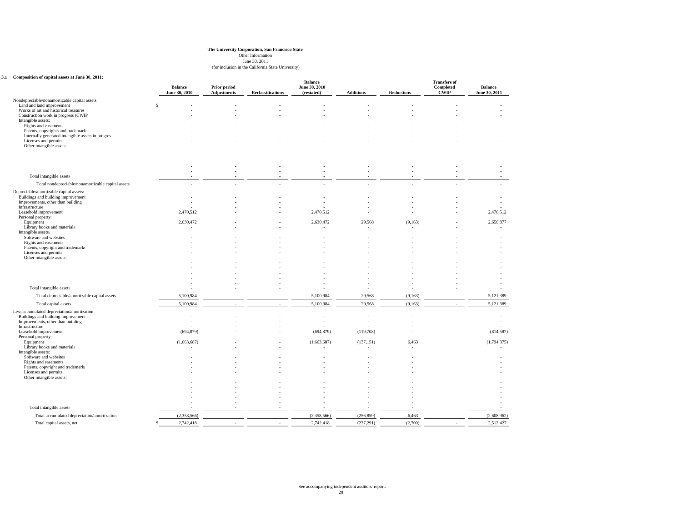June 30, 2011

#### (for inclusion in the California State University)

#### **3.1 Composition of capital assets at June 30, 2011:**

|                                                                              |               | <b>Balance</b><br>June 30, 2010 | Prior period<br><b>Adjustments</b> | <b>Reclassifications</b> | <b>Balance</b><br>June 30, 2010<br>(restated) | <b>Additions</b> | <b>Reductions</b> | <b>Transfers of</b><br>Completed<br><b>CWIP</b> | <b>Balance</b><br>June 30, 2011 |
|------------------------------------------------------------------------------|---------------|---------------------------------|------------------------------------|--------------------------|-----------------------------------------------|------------------|-------------------|-------------------------------------------------|---------------------------------|
| Nondepreciable/nonamortizable capital assets:                                |               |                                 |                                    |                          |                                               |                  |                   |                                                 |                                 |
| Land and land improvement                                                    | <sup>\$</sup> |                                 |                                    |                          |                                               |                  |                   |                                                 |                                 |
| Works of art and historical treasures<br>Construction work in progress (CWIP |               |                                 |                                    |                          |                                               |                  |                   |                                                 |                                 |
| Intangible assets:                                                           |               |                                 |                                    |                          |                                               |                  |                   |                                                 |                                 |
| Rights and easements                                                         |               |                                 |                                    |                          |                                               |                  |                   |                                                 |                                 |
| Patents, copyrights and trademark:                                           |               |                                 |                                    |                          |                                               |                  |                   |                                                 |                                 |
| Internally generated intangible assets in progres<br>Licenses and permits    |               |                                 |                                    |                          |                                               |                  |                   |                                                 |                                 |
| Other intangible assets:                                                     |               |                                 |                                    |                          |                                               |                  |                   |                                                 |                                 |
|                                                                              |               |                                 |                                    |                          |                                               |                  |                   |                                                 |                                 |
|                                                                              |               |                                 |                                    |                          |                                               |                  |                   |                                                 |                                 |
|                                                                              |               |                                 |                                    |                          |                                               |                  |                   |                                                 |                                 |
|                                                                              |               |                                 |                                    |                          |                                               |                  |                   |                                                 |                                 |
| Total intangible assets                                                      |               |                                 |                                    |                          |                                               |                  |                   |                                                 |                                 |
| Total nondepreciable/nonamortizable capital assets                           |               |                                 |                                    |                          |                                               |                  |                   |                                                 |                                 |
| Depreciable/amortizable capital assets:                                      |               |                                 |                                    |                          |                                               |                  |                   |                                                 |                                 |
| Buildings and building improvement                                           |               |                                 |                                    |                          |                                               |                  |                   |                                                 |                                 |
| Improvements, other than building<br>Infrastructure                          |               |                                 |                                    |                          |                                               |                  |                   |                                                 |                                 |
| Leasehold improvement                                                        |               | 2,470,512                       |                                    |                          | 2,470,512                                     |                  |                   |                                                 | 2,470,512                       |
| Personal property:                                                           |               |                                 |                                    |                          |                                               |                  |                   |                                                 |                                 |
| Equipment<br>Library books and materials                                     |               | 2,630,472                       |                                    |                          | 2,630,472                                     | 29,568<br>÷.     | (9,163)           |                                                 | 2,650,877                       |
| Intangible assets:                                                           |               |                                 |                                    |                          |                                               |                  |                   |                                                 |                                 |
| Software and websites                                                        |               |                                 |                                    |                          |                                               |                  |                   |                                                 |                                 |
| Rights and easements                                                         |               |                                 |                                    |                          |                                               |                  |                   |                                                 |                                 |
| Patents, copyright and trademarks<br>Licenses and permits                    |               |                                 |                                    |                          |                                               |                  |                   |                                                 |                                 |
| Other intangible assets:                                                     |               |                                 |                                    |                          |                                               |                  |                   |                                                 |                                 |
|                                                                              |               |                                 |                                    |                          |                                               |                  |                   |                                                 |                                 |
|                                                                              |               |                                 |                                    |                          |                                               |                  |                   |                                                 |                                 |
|                                                                              |               |                                 |                                    |                          |                                               |                  |                   |                                                 |                                 |
|                                                                              |               |                                 |                                    |                          |                                               |                  |                   |                                                 |                                 |
| Total intangible assets                                                      |               |                                 |                                    |                          |                                               |                  |                   |                                                 |                                 |
| Total depreciable/amortizable capital assets                                 |               | 5,100,984                       |                                    |                          | 5,100,984                                     | 29,568           | (9,163)           |                                                 | 5,121,389                       |
| Total capital assets                                                         |               | 5,100,984                       |                                    | $\sim$                   | 5,100,984                                     | 29,568           | (9, 163)          | $\sim$                                          | 5,121,389                       |
| Less accumulated depreciation/amortization:                                  |               |                                 |                                    |                          |                                               |                  |                   |                                                 |                                 |
| Buildings and building improvement                                           |               |                                 |                                    |                          |                                               |                  |                   |                                                 |                                 |
| Improvements, other than building<br>Infrastructure                          |               |                                 |                                    |                          |                                               |                  |                   |                                                 |                                 |
| Leasehold improvement                                                        |               | (694, 879)                      |                                    |                          | (694, 879)                                    | (119,708)        |                   |                                                 | (814, 587)                      |
| Personal property:                                                           |               |                                 |                                    |                          |                                               |                  |                   |                                                 |                                 |
| Equipment                                                                    |               | (1,663,687)                     |                                    |                          | (1,663,687)                                   | (137, 151)       | 6,463             |                                                 | (1,794,375)                     |
| Library books and materials<br>Intangible assets:                            |               |                                 |                                    |                          |                                               | ٠.               |                   |                                                 |                                 |
| Software and websites                                                        |               |                                 |                                    |                          |                                               |                  |                   |                                                 |                                 |
| Rights and easements                                                         |               |                                 |                                    |                          |                                               |                  |                   |                                                 |                                 |
| Patents, copyright and trademarks<br>Licenses and permits                    |               |                                 |                                    |                          |                                               |                  |                   |                                                 |                                 |
| Other intangible assets:                                                     |               |                                 |                                    |                          |                                               |                  |                   |                                                 |                                 |
|                                                                              |               |                                 |                                    |                          |                                               |                  |                   |                                                 |                                 |
|                                                                              |               |                                 |                                    |                          |                                               |                  |                   |                                                 |                                 |
|                                                                              |               |                                 |                                    |                          |                                               |                  |                   |                                                 |                                 |
|                                                                              |               |                                 |                                    |                          |                                               |                  |                   |                                                 |                                 |
| Total intangible assets                                                      |               |                                 |                                    |                          |                                               |                  |                   |                                                 |                                 |
| Total accumulated depreciation/amortization                                  |               | (2,358,566)                     |                                    |                          | (2,358,566)                                   | (256, 859)       | 6,463             |                                                 | (2,608,962)                     |
| Total capital assets, net                                                    | \$.           | 2,742,418                       |                                    |                          | 2,742,418                                     | (227, 291)       | (2,700)           |                                                 | 2,512,427                       |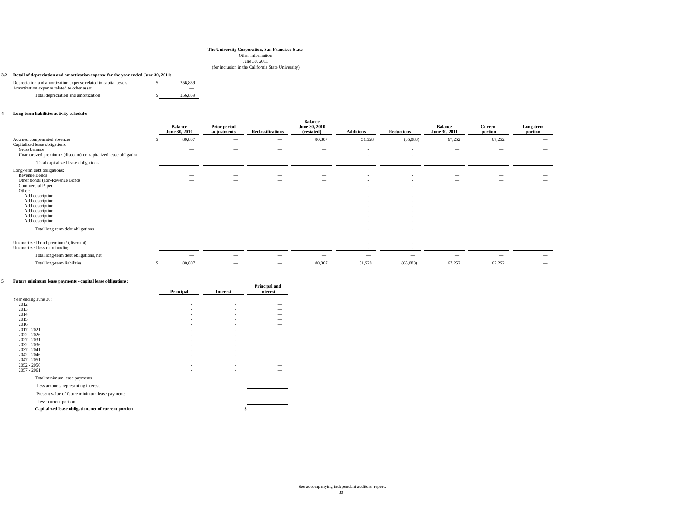June 30, 2011

#### (for inclusion in the California State University)

#### **3.2 Detail of depreciation and amortization expense for the year ended June 30, 2011:**

| Depreciation and amortization expense related to capital assets<br>Amortization expense related to other asset | 256,859 |  |
|----------------------------------------------------------------------------------------------------------------|---------|--|
| Total depreciation and amortization                                                                            | 256.859 |  |

#### **4 Long-term liabilities activity schedule:**

|                                                                                   | <b>Balance</b><br>June 30, 2010 | Prior period<br>adjustments | <b>Reclassifications</b>                             | <b>Balance</b><br>June 30, 2010<br>(restated) | <b>Additions</b>         | <b>Reductions</b>        | <b>Balance</b><br>June 30, 2011 | Current<br>portion       | Long-term<br>portion |
|-----------------------------------------------------------------------------------|---------------------------------|-----------------------------|------------------------------------------------------|-----------------------------------------------|--------------------------|--------------------------|---------------------------------|--------------------------|----------------------|
| Accrued compensated absences<br>Capitalized lease obligations:                    | 80,807                          |                             | $\overline{\phantom{a}}$                             | 80,807                                        | 51,528                   | (65,083)                 | 67,252                          | 67,252                   |                      |
| Gross balance<br>Unamortized premium / (discount) on capitalized lease obligation | $\overline{\phantom{a}}$        |                             |                                                      | $\overline{\phantom{a}}$                      | $\overline{\phantom{a}}$ | $\overline{\phantom{a}}$ |                                 |                          |                      |
| Total capitalized lease obligations                                               |                                 |                             |                                                      |                                               |                          |                          |                                 |                          |                      |
| Long-term debt obligations:<br>Revenue Bonds                                      |                                 |                             |                                                      |                                               |                          |                          |                                 |                          |                      |
| Other bonds (non-Revenue Bonds                                                    |                                 | -                           | $\overline{\phantom{a}}$                             | $\overline{\phantom{a}}$                      |                          | $\overline{\phantom{a}}$ | -                               |                          |                      |
| Commercial Paper<br>Other:                                                        |                                 |                             | $\overline{\phantom{a}}$                             | -                                             |                          | $\overline{\phantom{a}}$ | -                               |                          |                      |
| Add description                                                                   |                                 | -                           |                                                      | -                                             |                          |                          | -                               | -                        |                      |
| Add description<br>Add description                                                |                                 | _<br>-                      | $\overline{\phantom{a}}$<br>$\overline{\phantom{a}}$ | -<br>$\hspace{0.1mm}-\hspace{0.1mm}$          |                          |                          | -                               | -                        | $\sim$               |
| Add description                                                                   |                                 | -                           | $\overline{\phantom{a}}$                             | $\overline{\phantom{a}}$                      |                          | $\overline{\phantom{a}}$ | -                               |                          |                      |
| Add description                                                                   |                                 |                             |                                                      | -                                             |                          |                          | -                               |                          |                      |
| Add description                                                                   |                                 |                             |                                                      |                                               |                          |                          |                                 | $\overline{\phantom{a}}$ |                      |
| Total long-term debt obligations                                                  |                                 |                             |                                                      |                                               |                          |                          |                                 |                          |                      |
| Unamortized bond premium / (discount)<br>Unamortized loss on refunding            | -                               | -                           |                                                      | -                                             |                          |                          | -                               |                          |                      |
| Total long-term debt obligations, net                                             | -                               | -                           |                                                      |                                               |                          | $\overline{\phantom{a}}$ | -                               |                          |                      |
| Total long-term liabilities                                                       | 80,807                          |                             |                                                      | 80,807                                        | 51,528                   | (65,083)                 | 67,252                          | 67,252                   |                      |

#### **5 Future minimum lease payments - capital lease obligations:**

| <b>Future minimum lease payments - capital lease obligations:</b> |           |                 | Principal and   |
|-------------------------------------------------------------------|-----------|-----------------|-----------------|
|                                                                   | Principal | <b>Interest</b> | <b>Interest</b> |
| Year ending June 30:                                              |           |                 |                 |
| 2012                                                              | ٠         |                 |                 |
| 2013                                                              |           |                 |                 |
| 2014                                                              |           |                 |                 |
| 2015                                                              |           |                 |                 |
| 2016                                                              |           |                 |                 |
| $2017 - 2021$                                                     |           |                 |                 |
| $2022 - 2026$                                                     |           |                 |                 |
| $2027 - 2031$                                                     |           |                 |                 |
| $2032 - 2036$                                                     |           |                 |                 |
| $2037 - 2041$                                                     |           |                 |                 |
| $2042 - 2046$<br>$2047 - 2051$                                    |           |                 |                 |
| $2052 - 2056$                                                     |           |                 |                 |
| $2057 - 2061$                                                     |           |                 |                 |
| Total minimum lease payments                                      |           |                 |                 |
| Less amounts representing interest                                |           |                 |                 |
| Present value of future minimum lease payments                    |           |                 |                 |
| Less: current portion                                             |           |                 |                 |
| Capitalized lease obligation, net of current portion              |           | \$              |                 |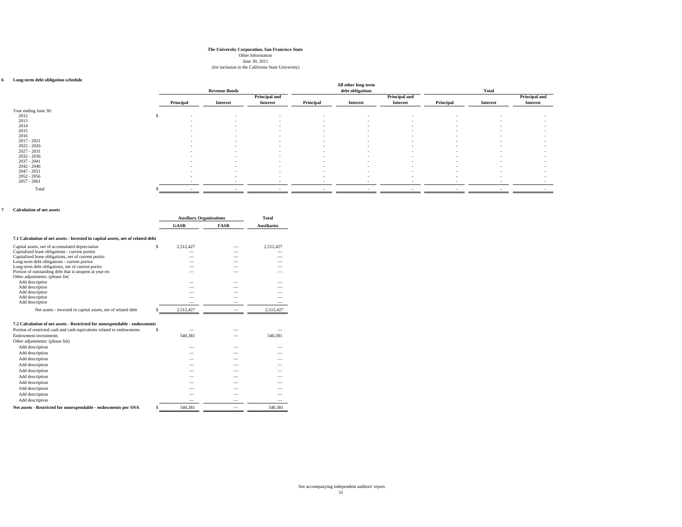June 30, 2011

#### (for inclusion in the California State University)

#### **6 Long-term debt obligation schedule**

| Long-term debt obligation schedule |           |                          |                          |                          | All other long-term      |                          |                          |                          |                          |
|------------------------------------|-----------|--------------------------|--------------------------|--------------------------|--------------------------|--------------------------|--------------------------|--------------------------|--------------------------|
|                                    |           | <b>Revenue Bonds</b>     |                          |                          | debt obligations         |                          |                          | Total                    |                          |
|                                    |           |                          | Principal and            |                          |                          | Principal and            |                          |                          | Principal and            |
|                                    | Principal | <b>Interest</b>          | <b>Interest</b>          | Principal                | <b>Interest</b>          | <b>Interest</b>          | Principal                | <b>Interest</b>          | <b>Interest</b>          |
| Year ending June 30:               |           |                          |                          |                          |                          |                          |                          |                          |                          |
| 2012<br>\$                         | $\sim$    | $\sim$                   | $\sim$                   | $\sim$                   | $\overline{\phantom{a}}$ | $\sim$                   | $\sim$                   | $\overline{\phantom{a}}$ | $\overline{\phantom{a}}$ |
| 2013                               | $\sim$    | $\overline{\phantom{a}}$ | $\sim$                   | $\sim$                   | $\overline{\phantom{a}}$ | $\sim$                   | $\overline{\phantom{a}}$ | $\overline{\phantom{a}}$ | $\overline{\phantom{a}}$ |
| 2014                               | $\sim$    | $\overline{\phantom{a}}$ | $\sim$                   | $\sim$                   | $\overline{a}$           | $\sim$                   | $\sim$                   | $\overline{\phantom{a}}$ | $\overline{\phantom{a}}$ |
| 2015                               | $\sim$    | $\sim$                   | $\overline{\phantom{a}}$ | $\sim$                   | $\sim$                   | $\overline{\phantom{a}}$ | $\sim$                   | $\overline{\phantom{a}}$ | $\overline{\phantom{a}}$ |
| 2016                               | $\sim$    | $\overline{\phantom{a}}$ | $\sim$                   | $\sim$                   | $\sim$                   | $\sim$                   | $\sim$                   | $\overline{\phantom{a}}$ | $\overline{\phantom{a}}$ |
| $2017 - 2021$                      | $\sim$    | $\overline{\phantom{a}}$ | $\sim$                   | $\overline{\phantom{a}}$ | $\overline{\phantom{a}}$ | $\sim$                   | $\overline{\phantom{a}}$ | $\overline{\phantom{a}}$ | $\overline{\phantom{a}}$ |
| $2022 - 2026$                      | $\sim$    | $\sim$                   | $\sim$                   | $\sim$                   | $\sim$                   | $\sim$                   | $\overline{\phantom{a}}$ | $\overline{\phantom{a}}$ | $\overline{\phantom{a}}$ |
| $2027 - 2031$                      | $\sim$    | $\overline{\phantom{a}}$ | $\sim$                   | $\sim$                   | $\sim$                   | $\sim$                   | $\sim$                   | $\overline{\phantom{a}}$ | $\overline{\phantom{a}}$ |
| $2032 - 2036$                      | $\sim$    | $\sim$                   | $\overline{\phantom{a}}$ | $\sim$                   | $\overline{a}$           | $\sim$                   | $\sim$                   | $\overline{\phantom{a}}$ | $\overline{\phantom{a}}$ |
| $2037 - 2041$                      | $\sim$    | $\sim$                   | $\overline{\phantom{a}}$ | $\sim$                   | $\overline{\phantom{a}}$ | $\sim$                   | $\sim$                   | $\overline{\phantom{a}}$ | $\overline{\phantom{a}}$ |
| $2042 - 2046$                      | $\sim$    | $\sim$                   | $\sim$                   | $\sim$                   | $\sim$                   | $\sim$                   | $\sim$                   | $\overline{\phantom{a}}$ | $\sim$                   |
| $2047 - 2051$                      | $\sim$    | $\overline{\phantom{a}}$ | $\sim$                   | $\overline{\phantom{a}}$ | $\overline{\phantom{a}}$ | $\sim$                   | $\overline{\phantom{a}}$ | $\overline{\phantom{a}}$ | $\overline{\phantom{a}}$ |
| $2052 - 2056$                      | $\sim$    | $\overline{\phantom{a}}$ | $\sim$                   | $\sim$                   | $\overline{a}$           | $\sim$                   | $\sim$                   | $\overline{\phantom{a}}$ | $\sim$                   |
| $2057 - 2061$                      |           |                          |                          |                          |                          |                          |                          |                          |                          |
|                                    |           |                          |                          |                          |                          |                          |                          |                          |                          |
| Total                              |           |                          |                          |                          |                          |                          |                          |                          |                          |

#### **7 Calculation of net assets**

|                                                                                            | <b>Auxiliary Organizations</b> |             | <b>Total</b>       |  |
|--------------------------------------------------------------------------------------------|--------------------------------|-------------|--------------------|--|
|                                                                                            | <b>GASB</b>                    | <b>FASB</b> | <b>Auxiliaries</b> |  |
|                                                                                            |                                |             |                    |  |
| 7.1 Calculation of net assets - Invested in capital assets, net of related debt            |                                |             |                    |  |
| Capital assets, net of accumulated depreciation                                            | \$<br>2.512.427                |             | 2,512,427          |  |
| Capitalized lease obligations - current portion                                            |                                |             |                    |  |
| Capitalized lease obligations, net of current portion                                      |                                |             |                    |  |
| Long-term debt obligations - current portion                                               |                                |             |                    |  |
| Long-term debt obligations, net of current portio                                          |                                |             |                    |  |
| Portion of outstanding debt that is unspent at year-en<br>Other adjustments: (please list) |                                |             |                    |  |
| Add description                                                                            |                                |             |                    |  |
| Add description                                                                            |                                |             |                    |  |
| Add description                                                                            |                                |             |                    |  |
| Add description                                                                            |                                |             |                    |  |
| Add description                                                                            |                                |             |                    |  |
| Net assets - invested in capital assets, net of related debt                               | 2.512.427                      |             | 2,512,427          |  |
|                                                                                            |                                |             |                    |  |
| 7.2 Calculation of net assets - Restricted for nonexpendable - endowments                  |                                |             |                    |  |
| Portion of restricted cash and cash equivalents related to endowments                      | \$                             |             |                    |  |
| Endowment investments                                                                      | 540.381                        |             | 540.381            |  |
| Other adjustments: (please list)                                                           |                                |             |                    |  |
| Add description                                                                            |                                |             |                    |  |
| Add description                                                                            |                                |             |                    |  |
| Add description                                                                            |                                |             |                    |  |
| Add description                                                                            |                                |             |                    |  |
| Add description                                                                            |                                |             |                    |  |
| Add description                                                                            |                                |             |                    |  |
| Add description                                                                            |                                |             |                    |  |
| Add description                                                                            |                                |             |                    |  |
|                                                                                            |                                |             |                    |  |
| Add description                                                                            |                                |             |                    |  |
| Add description                                                                            |                                |             |                    |  |
| Net assets - Restricted for nonexpendable - endowments per SNA                             | \$<br>540,381                  |             | 540.381            |  |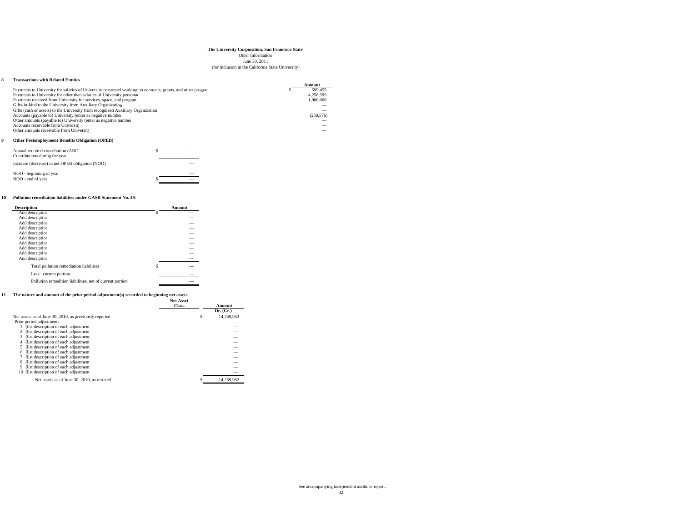June 30, 2011

#### (for inclusion in the California State University)

#### **8 Transactions with Related Entities**

|                                                                                                             | Amount     |
|-------------------------------------------------------------------------------------------------------------|------------|
| Payments to University for salaries of University personnel working on contracts, grants, and other program | 599.455    |
| Payments to University for other than salaries of University personne                                       | 4.258.595  |
| Payments received from University for services, space, and program                                          | 1.986.066  |
| Gifts-in-kind to the University from Auxiliary Organization                                                 |            |
| Gifts (cash or assets) to the University from recognized Auxiliary Organization                             |            |
| Accounts (payable to) University (enter as negative number                                                  | (250, 576) |
| Other amounts (payable to) University (enter as negative number                                             |            |
| Accounts receivable from University                                                                         |            |
| Other amounts receivable from Universit                                                                     |            |
|                                                                                                             |            |

#### **9 Other Postemployment Benefits Obligation (OPEB)**

| Annual required contribution (ARC)<br>Contributions during the year |  |  |
|---------------------------------------------------------------------|--|--|
| Increase (decrease) in net OPEB obligation (NOO)                    |  |  |
| NOO - beginning of year                                             |  |  |
| NOO - end of year                                                   |  |  |

#### **10 Pollution remediation liabilities under GASB Statement No. 49:**

| <b>Description</b>                                       | Amount  |
|----------------------------------------------------------|---------|
| Add description                                          |         |
| Add description                                          | --      |
| Add description                                          | --      |
| Add description                                          | _       |
| Add description                                          | --      |
| Add description                                          | --      |
| Add description                                          | --      |
| Add description                                          | _       |
| Add description                                          | --      |
| Add description                                          | --      |
| Total pollution remediation liabilities                  | \$<br>_ |
| Less: current portion                                    |         |
| Pollution remedition liabilities, net of current portion | --      |

#### **11 The nature and amount of the prior period adjustment(s) recorded to beginning net assets**

|                                                        | <b>Net Asset</b><br><b>Class</b> | Amount |            |
|--------------------------------------------------------|----------------------------------|--------|------------|
|                                                        |                                  |        | Dr. (Cr.)  |
| Net assets as of June 30, 2010, as previously reported | \$                               |        | 14.259.952 |
| Prior period adjustments                               |                                  |        |            |
| (list description of each adjustment                   |                                  |        | _          |
| 2 (list description of each adjustment                 |                                  |        | _          |
| (list description of each adjustment<br>3              |                                  |        | _          |
| (list description of each adjustment)<br>4             |                                  |        | _          |
| 5 (list description of each adjustment                 |                                  |        |            |
| (list description of each adjustment<br>6              |                                  |        | _          |
| (list description of each adjustment)                  |                                  |        | _          |
| (list description of each adjustment<br>8              |                                  |        | _          |
| (list description of each adjustment)<br>9             |                                  |        | _          |
| 10 (list description of each adjustment                |                                  |        | _          |
| Net assets as of June 30, 2010, as restated            |                                  |        | 14.259.952 |